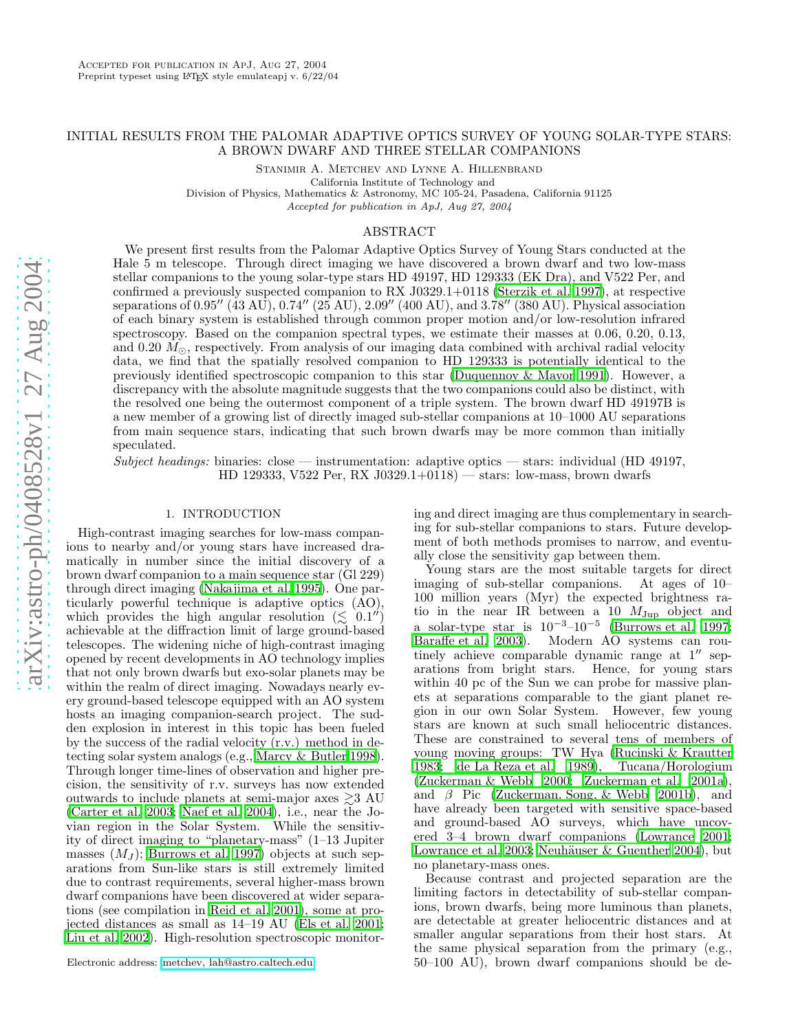# INITIAL RESULTS FROM THE PALOMAR ADAPTIVE OPTICS SURVEY OF YOUNG SOLAR-TYPE STARS: A BROWN DWARF AND THREE STELLAR COMPANIONS

STANIMIR A. METCHEV AND LYNNE A. HILLENBRAND

California Institute of Technology and Division of Physics, Mathematics & Astronomy, MC 105-24, Pasadena, California 91125

Accepted for publication in ApJ, Aug 27, 2004

#### ABSTRACT

We present first results from the Palomar Adaptive Optics Survey of Young Stars conducted at the Hale 5 m telescope. Through direct imaging we have discovered a brown dwarf and two low-mass stellar companions to the young solar-type stars HD 49197, HD 129333 (EK Dra), and V522 Per, and confirmed a previously suspected companion to RX J0329.1+0118 [\(Sterzik et al. 1997\)](#page-13-0), at respective separations of 0.95′′ (43 AU), 0.74′′ (25 AU), 2.09′′ (400 AU), and 3.78′′ (380 AU). Physical association of each binary system is established through common proper motion and/or low-resolution infrared spectroscopy. Based on the companion spectral types, we estimate their masses at 0.06, 0.20, 0.13, and 0.20  $M_{\odot}$ , respectively. From analysis of our imaging data combined with archival radial velocity data, we find that the spatially resolved companion to HD 129333 is potentially identical to the previously identified spectroscopic companion to this star [\(Duquennoy & Mayor 1991\)](#page-13-1). However, a discrepancy with the absolute magnitude suggests that the two companions could also be distinct, with the resolved one being the outermost component of a triple system. The brown dwarf HD 49197B is a new member of a growing list of directly imaged sub-stellar companions at 10–1000 AU separations from main sequence stars, indicating that such brown dwarfs may be more common than initially speculated.

*Subject headings:* binaries: close — instrumentation: adaptive optics — stars: individual (HD 49197, HD 129333, V522 Per, RX J0329.1+0118) — stars: low-mass, brown dwarfs

### 1. INTRODUCTION

High-contrast imaging searches for low-mass companions to nearby and/or young stars have increased dramatically in number since the initial discovery of a brown dwarf companion to a main sequence star (Gl 229) through direct imaging [\(Nakajima et al. 1995](#page-13-2)). One particularly powerful technique is adaptive optics (AO), which provides the high angular resolution  $(\leq 0.1'')$ achievable at the diffraction limit of large ground-based telescopes. The widening niche of high-contrast imaging opened by recent developments in AO technology implies that not only brown dwarfs but exo-solar planets may be within the realm of direct imaging. Nowadays nearly every ground-based telescope equipped with an AO system hosts an imaging companion-search project. The sudden explosion in interest in this topic has been fueled by the success of the radial velocity (r.v.) method in detecting solar system analogs (e.g., [Marcy & Butler 1998\)](#page-13-3). Through longer time-lines of observation and higher precision, the sensitivity of r.v. surveys has now extended outwards to include planets at semi-major axes  $\gtrsim 3 \text{ AU}$ [\(Carter et al. 2003;](#page-12-0) [Naef et al. 2004](#page-13-4)), i.e., near the Jovian region in the Solar System. While the sensitivity of direct imaging to "planetary-mass" (1–13 Jupiter masses  $(M_J)$ ; [Burrows et al. 1997\)](#page-12-1) objects at such separations from Sun-like stars is still extremely limited due to contrast requirements, several higher-mass brown dwarf companions have been discovered at wider separations (see compilation in [Reid et al. 2001](#page-13-5)), some at projected distances as small as 14–19 AU [\(Els et al. 2001;](#page-13-6) [Liu et al. 2002](#page-13-7)). High-resolution spectroscopic monitor-

Electronic address: [metchev, lah@astro.caltech.edu](mailto:metchev, lah@astro.caltech.edu)

ing and direct imaging are thus complementary in searching for sub-stellar companions to stars. Future development of both methods promises to narrow, and eventually close the sensitivity gap between them.

Young stars are the most suitable targets for direct imaging of sub-stellar companions. At ages of 10– 100 million years (Myr) the expected brightness ratio in the near IR between a 10  $M_{\text{Jup}}$  object and a solar-type star is  $10^{-3}$ - $10^{-5}$  [\(Burrows et al. 1997](#page-12-1); [Baraffe et al. 2003\)](#page-12-2). Modern AO systems can routinely achieve comparable dynamic range at  $1''$  separations from bright stars. Hence, for young stars within 40 pc of the Sun we can probe for massive planets at separations comparable to the giant planet region in our own Solar System. However, few young stars are known at such small heliocentric distances. These are constrained to several tens of members of young moving groups: TW Hya [\(Rucinski & Krautter](#page-13-8) [1983;](#page-13-8) [de La Reza et al. 1989\)](#page-13-9), Tucana/Horologium [\(Zuckerman & Webb 2000](#page-14-0); [Zuckerman et al. 2001a\)](#page-14-1), and β Pic [\(Zuckerman, Song, & Webb 2001b\)](#page-14-2), and have already been targeted with sensitive space-based and ground-based AO surveys, which have uncovered 3–4 brown dwarf companions [\(Lowrance 2001](#page-13-10); [Lowrance et al. 2003;](#page-13-11) Neuhäuser & Guenther 2004), but no planetary-mass ones.

Because contrast and projected separation are the limiting factors in detectability of sub-stellar companions, brown dwarfs, being more luminous than planets, are detectable at greater heliocentric distances and at smaller angular separations from their host stars. At the same physical separation from the primary (e.g., 50–100 AU), brown dwarf companions should be de-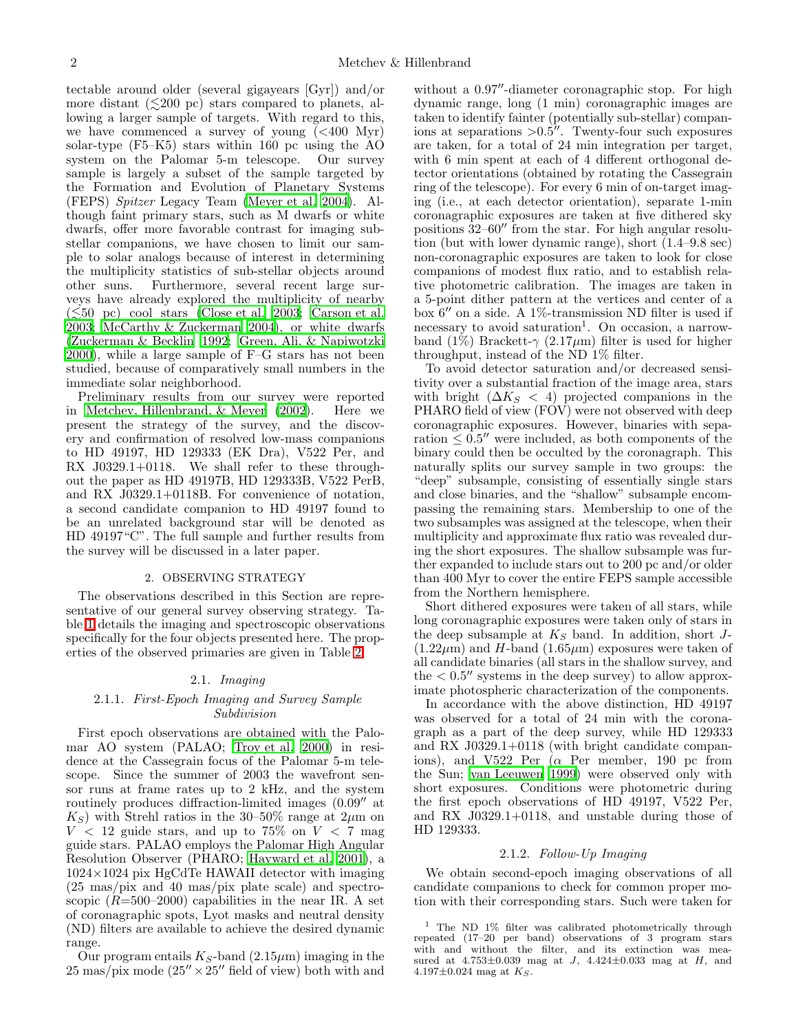tectable around older (several gigayears [Gyr]) and/or more distant  $(\leq 200 \text{ pc})$  stars compared to planets, allowing a larger sample of targets. With regard to this, we have commenced a survey of young  $( $400 \, \text{Myr}$ )$ solar-type (F5–K5) stars within 160 pc using the AO system on the Palomar 5-m telescope. Our survey sample is largely a subset of the sample targeted by the Formation and Evolution of Planetary Systems (FEPS) *Spitzer* Legacy Team [\(Meyer et al. 2004\)](#page-13-13). Although faint primary stars, such as M dwarfs or white dwarfs, offer more favorable contrast for imaging substellar companions, we have chosen to limit our sample to solar analogs because of interest in determining the multiplicity statistics of sub-stellar objects around other suns. Furthermore, several recent large surveys have already explored the multiplicity of nearby  $(\leq 50 \text{ pc})$  cool stars [\(Close et al. 2003;](#page-12-3) [Carson et al.](#page-12-4) [2003;](#page-12-4) [McCarthy & Zuckerman 2004\)](#page-13-14), or white dwarfs [\(Zuckerman & Becklin 1992;](#page-14-3) [Green, Ali, & Napiwotzki](#page-13-15) [2000\)](#page-13-15), while a large sample of F–G stars has not been studied, because of comparatively small numbers in the immediate solar neighborhood.

Preliminary results from our survey were reported in [Metchev, Hillenbrand, & Meyer \(2002\)](#page-13-16). Here we present the strategy of the survey, and the discovery and confirmation of resolved low-mass companions to HD 49197, HD 129333 (EK Dra), V522 Per, and RX J0329.1+0118. We shall refer to these throughout the paper as HD 49197B, HD 129333B, V522 PerB, and RX J0329.1+0118B. For convenience of notation, a second candidate companion to HD 49197 found to be an unrelated background star will be denoted as HD 49197"C". The full sample and further results from the survey will be discussed in a later paper.

## 2. OBSERVING STRATEGY

The observations described in this Section are representative of our general survey observing strategy. Table [1](#page-15-0) details the imaging and spectroscopic observations specifically for the four objects presented here. The properties of the observed primaries are given in Table [2.](#page-15-1)

# 2.1. *Imaging*

## 2.1.1. *First-Epoch Imaging and Survey Sample Subdivision*

First epoch observations are obtained with the Palomar AO system (PALAO; [Troy et al. 2000\)](#page-13-17) in residence at the Cassegrain focus of the Palomar 5-m telescope. Since the summer of 2003 the wavefront sensor runs at frame rates up to 2 kHz, and the system routinely produces diffraction-limited images (0.09′′ at  $K<sub>S</sub>$ ) with Strehl ratios in the 30–50% range at  $2\mu$ m on  $V$  < 12 guide stars, and up to 75% on  $V$  < 7 mag guide stars. PALAO employs the Palomar High Angular Resolution Observer (PHARO; [Hayward et al. 2001](#page-13-18)), a  $1024\times1024$  pix HgCdTe HAWAII detector with imaging (25 mas/pix and 40 mas/pix plate scale) and spectroscopic  $(R=500-2000)$  capabilities in the near IR. A set of coronagraphic spots, Lyot masks and neutral density (ND) filters are available to achieve the desired dynamic range.

Our program entails  $K_S$ -band (2.15 $\mu$ m) imaging in the  $25 \text{ mas/pix mode}$  ( $25'' \times 25''$  field of view) both with and

without a  $0.97''$ -diameter coronagraphic stop. For high dynamic range, long (1 min) coronagraphic images are taken to identify fainter (potentially sub-stellar) companions at separations  $>0.5$ <sup>"</sup>. Twenty-four such exposures are taken, for a total of 24 min integration per target, with 6 min spent at each of 4 different orthogonal detector orientations (obtained by rotating the Cassegrain ring of the telescope). For every 6 min of on-target imaging (i.e., at each detector orientation), separate 1-min coronagraphic exposures are taken at five dithered sky positions 32–60′′ from the star. For high angular resolution (but with lower dynamic range), short (1.4–9.8 sec) non-coronagraphic exposures are taken to look for close companions of modest flux ratio, and to establish relative photometric calibration. The images are taken in a 5-point dither pattern at the vertices and center of a box 6′′ on a side. A 1%-transmission ND filter is used if necessary to avoid saturation<sup>1</sup>. On occasion, a narrowband (1%) Brackett- $\gamma$  (2.17 $\mu$ m) filter is used for higher throughput, instead of the ND 1% filter.

To avoid detector saturation and/or decreased sensitivity over a substantial fraction of the image area, stars with bright  $(\Delta K_S < 4)$  projected companions in the PHARO field of view (FOV) were not observed with deep coronagraphic exposures. However, binaries with separation  $\leq 0.5''$  were included, as both components of the binary could then be occulted by the coronagraph. This naturally splits our survey sample in two groups: the "deep" subsample, consisting of essentially single stars and close binaries, and the "shallow" subsample encompassing the remaining stars. Membership to one of the two subsamples was assigned at the telescope, when their multiplicity and approximate flux ratio was revealed during the short exposures. The shallow subsample was further expanded to include stars out to 200 pc and/or older than 400 Myr to cover the entire FEPS sample accessible from the Northern hemisphere.

Short dithered exposures were taken of all stars, while long coronagraphic exposures were taken only of stars in the deep subsample at  $K<sub>S</sub>$  band. In addition, short J- $(1.22\mu m)$  and H-band  $(1.65\mu m)$  exposures were taken of all candidate binaries (all stars in the shallow survey, and the  $< 0.5''$  systems in the deep survey) to allow approximate photospheric characterization of the components.

In accordance with the above distinction, HD 49197 was observed for a total of 24 min with the coronagraph as a part of the deep survey, while HD 129333 and RX J0329.1+0118 (with bright candidate companions), and V522 Per  $(\alpha$  Per member, 190 pc from the Sun; [van Leeuwen 1999](#page-13-19)) were observed only with short exposures. Conditions were photometric during the first epoch observations of HD 49197, V522 Per, and RX J0329.1+0118, and unstable during those of HD 129333.

### 2.1.2. *Follow-Up Imaging*

We obtain second-epoch imaging observations of all candidate companions to check for common proper motion with their corresponding stars. Such were taken for

<sup>&</sup>lt;sup>1</sup> The ND 1% filter was calibrated photometrically through repeated (17–20 per band) observations of 3 program stars with and without the filter, and its extinction was measured at  $4.753 \pm 0.039$  mag at  $J$ ,  $4.424 \pm 0.033$  mag at  $H$ , and 4.197 $\pm$ 0.024 mag at  $K_S$ .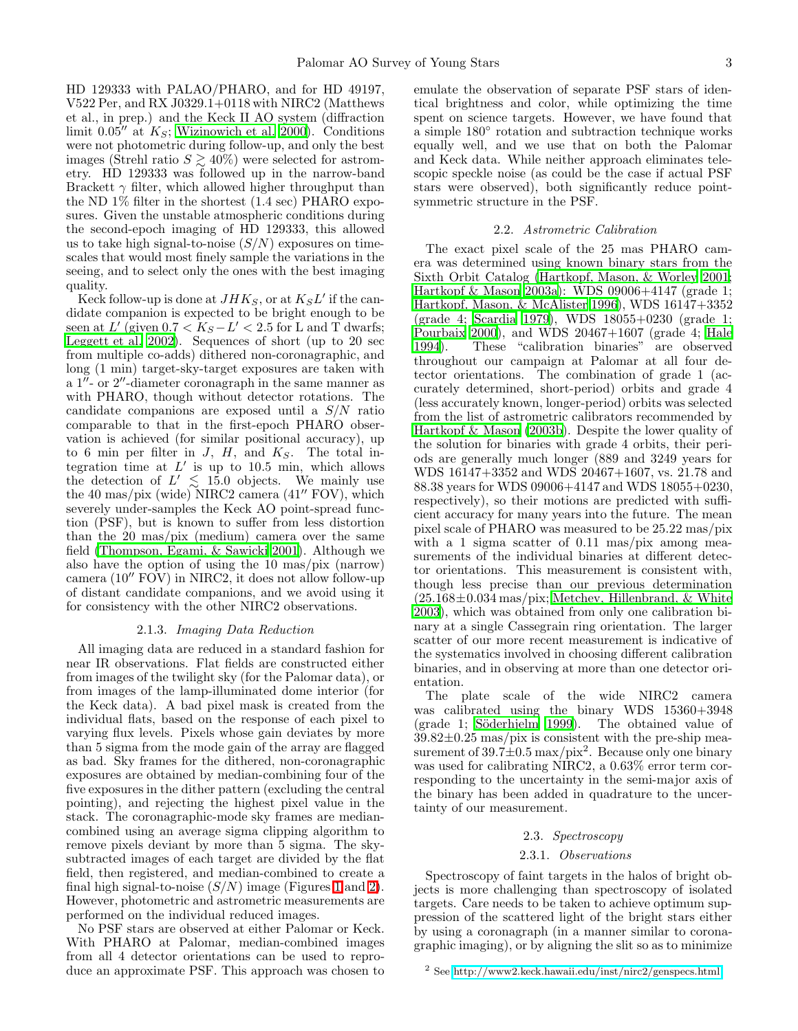HD 129333 with PALAO/PHARO, and for HD 49197, V522 Per, and RX J0329.1+0118 with NIRC2 (Matthews et al., in prep.) and the Keck II AO system (diffraction limit  $0.05''$  at  $K_S$ ; [Wizinowich et al. 2000](#page-14-4)). Conditions were not photometric during follow-up, and only the best images (Strehl ratio  $S \gtrsim 40\%$ ) were selected for astrometry. HD 129333 was followed up in the narrow-band Brackett  $\gamma$  filter, which allowed higher throughput than the ND 1% filter in the shortest (1.4 sec) PHARO exposures. Given the unstable atmospheric conditions during the second-epoch imaging of HD 129333, this allowed us to take high signal-to-noise  $(S/N)$  exposures on timescales that would most finely sample the variations in the seeing, and to select only the ones with the best imaging quality.

Keck follow-up is done at  $JHK_S$ , or at  $K_S L'$  if the candidate companion is expected to be bright enough to be seen at L' (given  $0.7 < K_S - L' < 2.5$  for L and T dwarfs; [Leggett et al. 2002\)](#page-13-20). Sequences of short (up to 20 sec from multiple co-adds) dithered non-coronagraphic, and long (1 min) target-sky-target exposures are taken with a 1′′- or 2′′-diameter coronagraph in the same manner as with PHARO, though without detector rotations. The candidate companions are exposed until a S/N ratio comparable to that in the first-epoch PHARO observation is achieved (for similar positional accuracy), up to 6 min per filter in  $J$ ,  $H$ , and  $K_S$ . The total integration time at  $L'$  is up to 10.5 min, which allows the detection of  $L' \leq 15.0$  objects. We mainly use the 40 mas/pix (wide) NIRC2 camera (41′′ FOV), which severely under-samples the Keck AO point-spread function (PSF), but is known to suffer from less distortion than the 20 mas/pix (medium) camera over the same field [\(Thompson, Egami, & Sawicki 2001\)](#page-13-21). Although we also have the option of using the 10 mas/pix (narrow) camera (10′′ FOV) in NIRC2, it does not allow follow-up of distant candidate companions, and we avoid using it for consistency with the other NIRC2 observations.

### 2.1.3. *Imaging Data Reduction*

<span id="page-2-0"></span>All imaging data are reduced in a standard fashion for near IR observations. Flat fields are constructed either from images of the twilight sky (for the Palomar data), or from images of the lamp-illuminated dome interior (for the Keck data). A bad pixel mask is created from the individual flats, based on the response of each pixel to varying flux levels. Pixels whose gain deviates by more than 5 sigma from the mode gain of the array are flagged as bad. Sky frames for the dithered, non-coronagraphic exposures are obtained by median-combining four of the five exposures in the dither pattern (excluding the central pointing), and rejecting the highest pixel value in the stack. The coronagraphic-mode sky frames are mediancombined using an average sigma clipping algorithm to remove pixels deviant by more than 5 sigma. The skysubtracted images of each target are divided by the flat field, then registered, and median-combined to create a final high signal-to-noise  $(S/N)$  image (Figures [1](#page-17-0) and [2\)](#page-17-1). However, photometric and astrometric measurements are performed on the individual reduced images.

No PSF stars are observed at either Palomar or Keck. With PHARO at Palomar, median-combined images from all 4 detector orientations can be used to reproduce an approximate PSF. This approach was chosen to

emulate the observation of separate PSF stars of identical brightness and color, while optimizing the time spent on science targets. However, we have found that a simple 180◦ rotation and subtraction technique works equally well, and we use that on both the Palomar and Keck data. While neither approach eliminates telescopic speckle noise (as could be the case if actual PSF stars were observed), both significantly reduce pointsymmetric structure in the PSF.

#### 2.2. *Astrometric Calibration*

The exact pixel scale of the 25 mas PHARO camera was determined using known binary stars from the Sixth Orbit Catalog [\(Hartkopf, Mason, & Worley 2001](#page-13-22); [Hartkopf & Mason 2003a\)](#page-13-23): WDS 09006+4147 (grade 1; [Hartkopf, Mason, & McAlister 1996\)](#page-13-24), WDS 16147+3352 (grade 4; [Scardia 1979\)](#page-13-25), WDS 18055+0230 (grade 1; [Pourbaix 2000\)](#page-13-26), and WDS 20467+1607 (grade 4; [Hale](#page-13-27) [1994\)](#page-13-27). These "calibration binaries" are observed throughout our campaign at Palomar at all four detector orientations. The combination of grade 1 (accurately determined, short-period) orbits and grade 4 (less accurately known, longer-period) orbits was selected from the list of astrometric calibrators recommended by [Hartkopf & Mason \(2003b\)](#page-13-28). Despite the lower quality of the solution for binaries with grade 4 orbits, their periods are generally much longer (889 and 3249 years for WDS 16147+3352 and WDS 20467+1607, vs. 21.78 and 88.38 years for WDS 09006+4147 and WDS 18055+0230, respectively), so their motions are predicted with sufficient accuracy for many years into the future. The mean pixel scale of PHARO was measured to be 25.22 mas/pix with a 1 sigma scatter of 0.11 mas/pix among measurements of the individual binaries at different detector orientations. This measurement is consistent with, though less precise than our previous determination  $(25.168\pm0.034 \text{ mas/pix};$  [Metchev, Hillenbrand, & White](#page-13-29) [2003\)](#page-13-29), which was obtained from only one calibration binary at a single Cassegrain ring orientation. The larger scatter of our more recent measurement is indicative of the systematics involved in choosing different calibration binaries, and in observing at more than one detector orientation.

The plate scale of the wide NIRC2 camera was calibrated using the binary WDS 15360+3948 (grade 1; Söderhjelm 1999). The obtained value of  $39.82\pm0.25$  mas/pix is consistent with the pre-ship measurement of  $39.7 \pm 0.5$  max/pix<sup>2</sup>. Because only one binary was used for calibrating NIRC2, a 0.63% error term corresponding to the uncertainty in the semi-major axis of the binary has been added in quadrature to the uncertainty of our measurement.

### 2.3. *Spectroscopy*

#### 2.3.1. *Observations*

<span id="page-2-1"></span>Spectroscopy of faint targets in the halos of bright objects is more challenging than spectroscopy of isolated targets. Care needs to be taken to achieve optimum suppression of the scattered light of the bright stars either by using a coronagraph (in a manner similar to coronagraphic imaging), or by aligning the slit so as to minimize

<sup>2</sup> See [http://www2.keck.hawaii.edu/inst/nirc2/genspecs.html.](http://www2.keck.hawaii.edu/inst/nirc2/genspecs.html)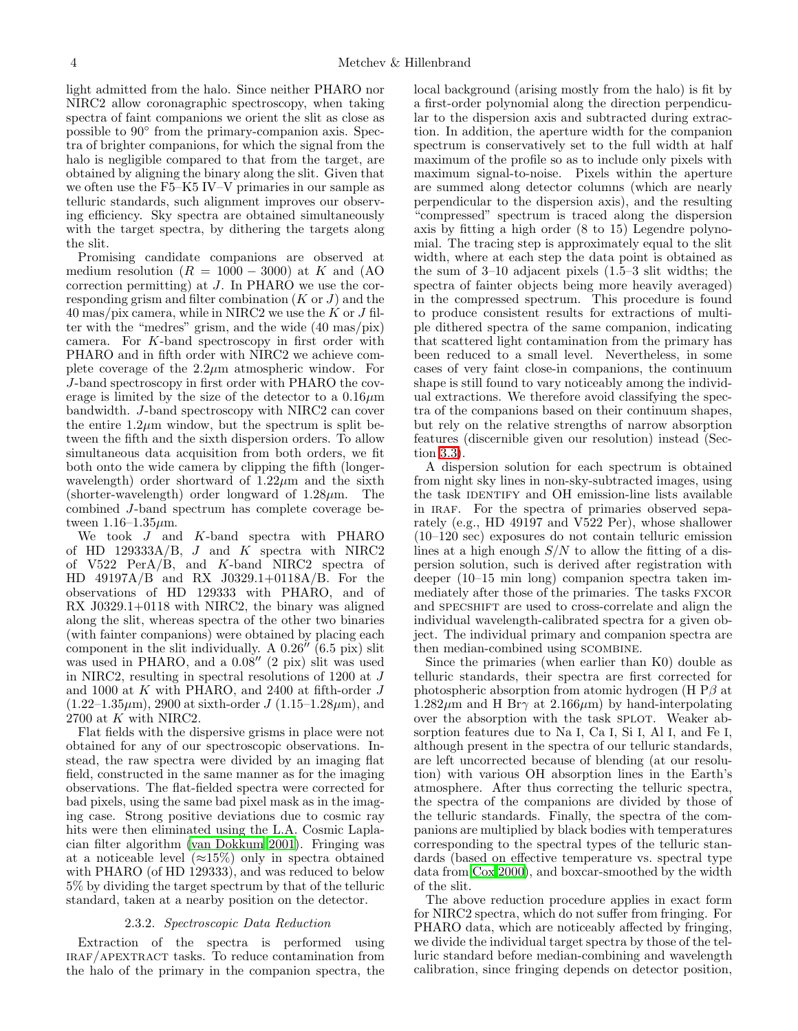light admitted from the halo. Since neither PHARO nor NIRC2 allow coronagraphic spectroscopy, when taking spectra of faint companions we orient the slit as close as possible to 90◦ from the primary-companion axis. Spectra of brighter companions, for which the signal from the halo is negligible compared to that from the target, are obtained by aligning the binary along the slit. Given that we often use the F5–K5 IV–V primaries in our sample as telluric standards, such alignment improves our observing efficiency. Sky spectra are obtained simultaneously with the target spectra, by dithering the targets along the slit.

Promising candidate companions are observed at medium resolution  $(R = 1000 - 3000)$  at K and (AO correction permitting) at J. In PHARO we use the corresponding grism and filter combination  $(K \text{ or } J)$  and the  $40 \,\text{mas/pix camera},$  while in NIRC2 we use the K or J filter with the "medres" grism, and the wide (40 mas/pix) camera. For K-band spectroscopy in first order with PHARO and in fifth order with NIRC2 we achieve complete coverage of the  $2.2\mu$ m atmospheric window. For J-band spectroscopy in first order with PHARO the coverage is limited by the size of the detector to a  $0.16 \mu m$ bandwidth. J-band spectroscopy with NIRC2 can cover the entire  $1.2\mu$ m window, but the spectrum is split between the fifth and the sixth dispersion orders. To allow simultaneous data acquisition from both orders, we fit both onto the wide camera by clipping the fifth (longerwavelength) order shortward of  $1.22\mu$ m and the sixth (shorter-wavelength) order longward of  $1.28 \mu m$ . The combined J-band spectrum has complete coverage between  $1.16 - 1.35 \mu m$ .

We took  $J$  and  $K$ -band spectra with PHARO of HD  $129333A/B$ , J and K spectra with NIRC2 of V522 PerA/B, and K-band NIRC2 spectra of HD 49197A/B and RX J0329.1+0118A/B. For the observations of HD 129333 with PHARO, and of RX J0329.1+0118 with NIRC2, the binary was aligned along the slit, whereas spectra of the other two binaries (with fainter companions) were obtained by placing each component in the slit individually. A 0.26′′ (6.5 pix) slit was used in PHARO, and a 0.08′′ (2 pix) slit was used in NIRC2, resulting in spectral resolutions of 1200 at J and 1000 at K with PHARO, and 2400 at fifth-order J  $(1.22-1.35\,\mu\text{m})$ , 2900 at sixth-order J  $(1.15-1.28\,\mu\text{m})$ , and 2700 at  $K$  with NIRC2.

Flat fields with the dispersive grisms in place were not obtained for any of our spectroscopic observations. Instead, the raw spectra were divided by an imaging flat field, constructed in the same manner as for the imaging observations. The flat-fielded spectra were corrected for bad pixels, using the same bad pixel mask as in the imaging case. Strong positive deviations due to cosmic ray hits were then eliminated using the L.A. Cosmic Laplacian filter algorithm [\(van Dokkum 2001](#page-13-31)). Fringing was at a noticeable level  $(\approx 15\%)$  only in spectra obtained with PHARO (of HD 129333), and was reduced to below 5% by dividing the target spectrum by that of the telluric standard, taken at a nearby position on the detector.

### 2.3.2. *Spectroscopic Data Reduction*

Extraction of the spectra is performed using iraf/apextract tasks. To reduce contamination from the halo of the primary in the companion spectra, the local background (arising mostly from the halo) is fit by a first-order polynomial along the direction perpendicular to the dispersion axis and subtracted during extraction. In addition, the aperture width for the companion spectrum is conservatively set to the full width at half maximum of the profile so as to include only pixels with maximum signal-to-noise. Pixels within the aperture are summed along detector columns (which are nearly perpendicular to the dispersion axis), and the resulting "compressed" spectrum is traced along the dispersion axis by fitting a high order (8 to 15) Legendre polynomial. The tracing step is approximately equal to the slit width, where at each step the data point is obtained as the sum of 3–10 adjacent pixels (1.5–3 slit widths; the spectra of fainter objects being more heavily averaged) in the compressed spectrum. This procedure is found to produce consistent results for extractions of multiple dithered spectra of the same companion, indicating that scattered light contamination from the primary has been reduced to a small level. Nevertheless, in some cases of very faint close-in companions, the continuum shape is still found to vary noticeably among the individual extractions. We therefore avoid classifying the spectra of the companions based on their continuum shapes, but rely on the relative strengths of narrow absorption features (discernible given our resolution) instead (Section [3.3\)](#page-5-0).

A dispersion solution for each spectrum is obtained from night sky lines in non-sky-subtracted images, using the task IDENTIFY and OH emission-line lists available in IRAF. For the spectra of primaries observed separately (e.g., HD 49197 and V522 Per), whose shallower (10–120 sec) exposures do not contain telluric emission lines at a high enough  $S/N$  to allow the fitting of a dispersion solution, such is derived after registration with deeper (10–15 min long) companion spectra taken immediately after those of the primaries. The tasks FXCOR and SPECSHIFT are used to cross-correlate and align the individual wavelength-calibrated spectra for a given object. The individual primary and companion spectra are then median-combined using scombine.

Since the primaries (when earlier than K0) double as telluric standards, their spectra are first corrected for photospheric absorption from atomic hydrogen (H  $\rm{P}\beta$  at  $1.282\mu$ m and H Br $\gamma$  at  $2.166\mu$ m) by hand-interpolating over the absorption with the task SPLOT. Weaker absorption features due to Na I, Ca I, Si I, Al I, and Fe I, although present in the spectra of our telluric standards, are left uncorrected because of blending (at our resolution) with various OH absorption lines in the Earth's atmosphere. After thus correcting the telluric spectra, the spectra of the companions are divided by those of the telluric standards. Finally, the spectra of the companions are multiplied by black bodies with temperatures corresponding to the spectral types of the telluric standards (based on effective temperature vs. spectral type data from [Cox 2000](#page-12-5)), and boxcar-smoothed by the width of the slit.

The above reduction procedure applies in exact form for NIRC2 spectra, which do not suffer from fringing. For PHARO data, which are noticeably affected by fringing, we divide the individual target spectra by those of the telluric standard before median-combining and wavelength calibration, since fringing depends on detector position,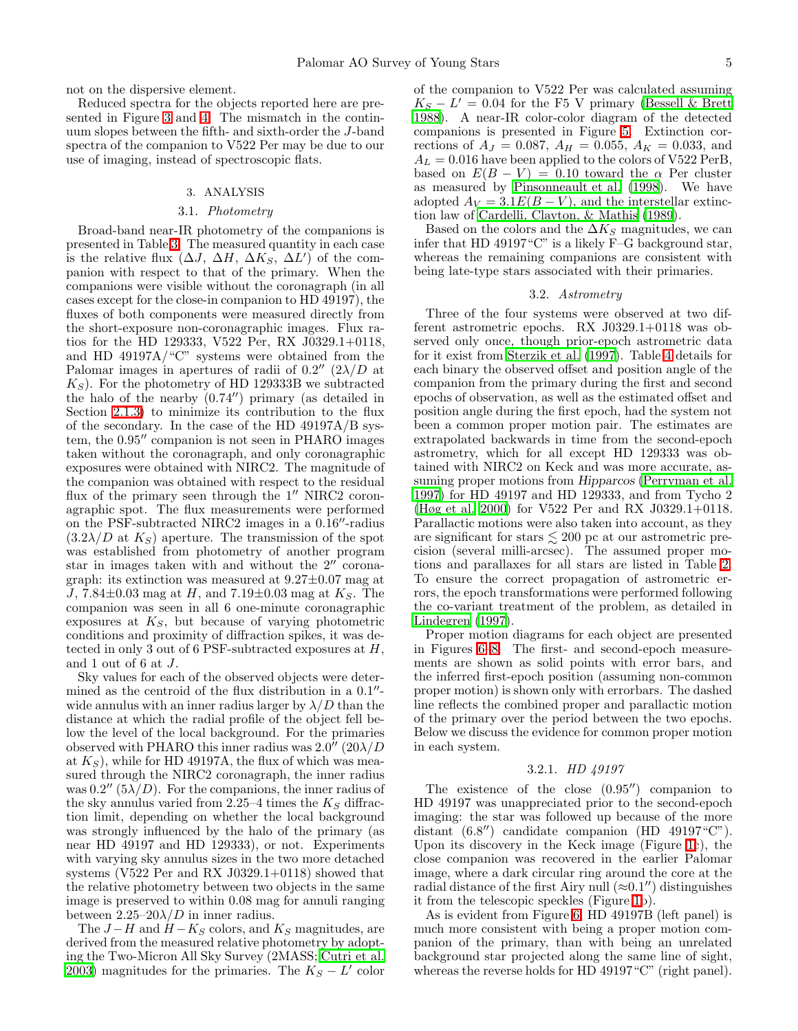not on the dispersive element.

Reduced spectra for the objects reported here are presented in Figure [3](#page-18-0) and [4.](#page-19-0) The mismatch in the continuum slopes between the fifth- and sixth-order the J-band spectra of the companion to V522 Per may be due to our use of imaging, instead of spectroscopic flats.

#### 3. ANALYSIS

#### 3.1. *Photometry*

<span id="page-4-0"></span>Broad-band near-IR photometry of the companions is presented in Table [3.](#page-15-2) The measured quantity in each case is the relative flux  $(\Delta J, \Delta H, \Delta K_S, \Delta L')$  of the companion with respect to that of the primary. When the companions were visible without the coronagraph (in all cases except for the close-in companion to HD 49197), the fluxes of both components were measured directly from the short-exposure non-coronagraphic images. Flux ratios for the HD 129333, V522 Per, RX J0329.1+0118, and HD 49197A/"C" systems were obtained from the Palomar images in apertures of radii of  $0.2''$   $(2\lambda/D)$  at  $K<sub>S</sub>$ ). For the photometry of HD 129333B we subtracted the halo of the nearby (0.74′′) primary (as detailed in Section [2.1.3\)](#page-2-0) to minimize its contribution to the flux of the secondary. In the case of the HD 49197A/B system, the 0.95′′ companion is not seen in PHARO images taken without the coronagraph, and only coronagraphic exposures were obtained with NIRC2. The magnitude of the companion was obtained with respect to the residual flux of the primary seen through the  $1''$  NIRC2 coronagraphic spot. The flux measurements were performed on the PSF-subtracted NIRC2 images in a 0.16′′-radius  $(3.2\lambda/D$  at  $K<sub>S</sub>$ ) aperture. The transmission of the spot was established from photometry of another program star in images taken with and without the 2′′ coronagraph: its extinction was measured at 9.27±0.07 mag at J, 7.84 $\pm$ 0.03 mag at H, and 7.19 $\pm$ 0.03 mag at  $K_S$ . The companion was seen in all 6 one-minute coronagraphic exposures at  $K<sub>S</sub>$ , but because of varying photometric conditions and proximity of diffraction spikes, it was detected in only 3 out of 6 PSF-subtracted exposures at H, and 1 out of 6 at J.

Sky values for each of the observed objects were determined as the centroid of the flux distribution in a 0.1"wide annulus with an inner radius larger by  $\lambda/D$  than the distance at which the radial profile of the object fell below the level of the local background. For the primaries observed with PHARO this inner radius was  $2.0^{\prime\prime}$  ( $20\lambda/D$ ) at  $K<sub>S</sub>$ , while for HD 49197A, the flux of which was measured through the NIRC2 coronagraph, the inner radius was  $0.2''$  ( $5\lambda/D$ ). For the companions, the inner radius of the sky annulus varied from 2.25–4 times the  $K_S$  diffraction limit, depending on whether the local background was strongly influenced by the halo of the primary (as near HD 49197 and HD 129333), or not. Experiments with varying sky annulus sizes in the two more detached systems (V522 Per and RX J0329.1+0118) showed that the relative photometry between two objects in the same image is preserved to within 0.08 mag for annuli ranging between  $2.25-20\lambda/D$  in inner radius.

The  $J-H$  and  $H-K_S$  colors, and  $K_S$  magnitudes, are derived from the measured relative photometry by adopting the Two-Micron All Sky Survey (2MASS; [Cutri et al.](#page-12-6) [2003\)](#page-12-6) magnitudes for the primaries. The  $K_S - L'$  color

of the companion to V522 Per was calculated assuming  $K_S - L' = 0.04$  for the F5 V primary [\(Bessell & Brett](#page-12-7) [1988\)](#page-12-7). A near-IR color-color diagram of the detected companions is presented in Figure [5.](#page-20-0) Extinction corrections of  $A_J = 0.087$ ,  $A_H = 0.055$ ,  $A_K = 0.033$ , and  $A_L = 0.016$  have been applied to the colors of V522 PerB, based on  $E(B - V) = 0.10$  toward the  $\alpha$  Per cluster as measured by [Pinsonneault et al. \(1998\)](#page-13-32). We have adopted  $A_V = 3.1E(B - V)$ , and the interstellar extinction law of [Cardelli, Clayton, & Mathis \(1989\)](#page-12-8).

Based on the colors and the  $\Delta K_S$  magnitudes, we can infer that HD 49197"C" is a likely F–G background star, whereas the remaining companions are consistent with being late-type stars associated with their primaries.

#### 3.2. *Astrometry*

Three of the four systems were observed at two different astrometric epochs. RX J0329.1+0118 was observed only once, though prior-epoch astrometric data for it exist from [Sterzik et al. \(1997](#page-13-0)). Table [4](#page-15-3) details for each binary the observed offset and position angle of the companion from the primary during the first and second epochs of observation, as well as the estimated offset and position angle during the first epoch, had the system not been a common proper motion pair. The estimates are extrapolated backwards in time from the second-epoch astrometry, which for all except HD 129333 was obtained with NIRC2 on Keck and was more accurate, assuming proper motions from Hipparcos [\(Perryman et al.](#page-13-33) [1997\)](#page-13-33) for HD 49197 and HD 129333, and from Tycho 2 [\(Høg et al. 2000\)](#page-13-34) for V522 Per and RX J0329.1+0118. Parallactic motions were also taken into account, as they are significant for stars  $\lesssim 200$  pc at our astrometric precision (several milli-arcsec). The assumed proper motions and parallaxes for all stars are listed in Table [2.](#page-15-1) To ensure the correct propagation of astrometric errors, the epoch transformations were performed following the co-variant treatment of the problem, as detailed in [Lindegren \(1997](#page-13-35)).

Proper motion diagrams for each object are presented in Figures [6](#page-21-0)[–8.](#page-23-0) The first- and second-epoch measurements are shown as solid points with error bars, and the inferred first-epoch position (assuming non-common proper motion) is shown only with errorbars. The dashed line reflects the combined proper and parallactic motion of the primary over the period between the two epochs. Below we discuss the evidence for common proper motion in each system.

### 3.2.1. *HD 49197*

The existence of the close (0.95′′) companion to HD 49197 was unappreciated prior to the second-epoch imaging: the star was followed up because of the more distant (6.8′′) candidate companion (HD 49197"C"). Upon its discovery in the Keck image (Figure [1c](#page-17-0)), the close companion was recovered in the earlier Palomar image, where a dark circular ring around the core at the radial distance of the first Airy null  $(\approx 0.1'')$  distinguishes it from the telescopic speckles (Figure [1b](#page-17-0)).

As is evident from Figure [6,](#page-21-0) HD 49197B (left panel) is much more consistent with being a proper motion companion of the primary, than with being an unrelated background star projected along the same line of sight, whereas the reverse holds for HD 49197 "C" (right panel).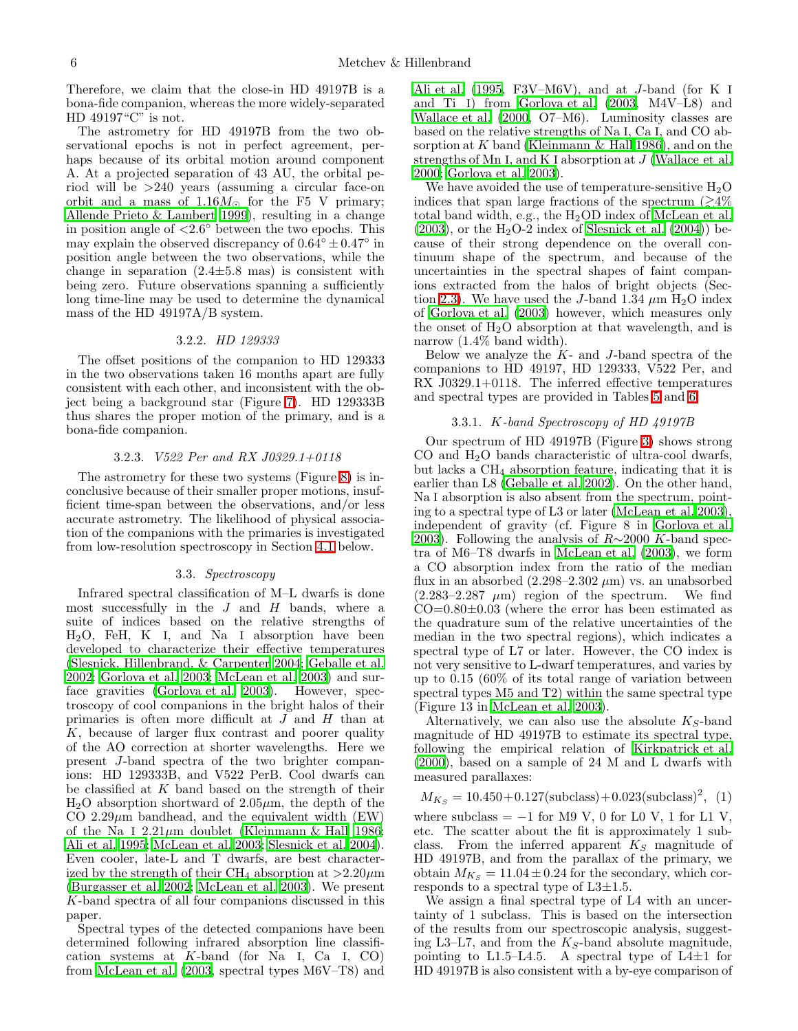Therefore, we claim that the close-in HD 49197B is a bona-fide companion, whereas the more widely-separated HD 49197"C" is not.

The astrometry for HD 49197B from the two observational epochs is not in perfect agreement, perhaps because of its orbital motion around component A. At a projected separation of 43 AU, the orbital period will be >240 years (assuming a circular face-on orbit and a mass of 1.16 $M_{\odot}$  for the F5 V primary; [Allende Prieto & Lambert 1999\)](#page-12-9), resulting in a change in position angle of  $\langle 2.6^\circ \rangle$  between the two epochs. This may explain the observed discrepancy of  $0.64^{\circ} \pm 0.47^{\circ}$  in position angle between the two observations, while the change in separation  $(2.4 \pm 5.8 \text{ mas})$  is consistent with being zero. Future observations spanning a sufficiently long time-line may be used to determine the dynamical mass of the HD 49197A/B system.

#### 3.2.2. *HD 129333*

The offset positions of the companion to HD 129333 in the two observations taken 16 months apart are fully consistent with each other, and inconsistent with the object being a background star (Figure [7\)](#page-22-0). HD 129333B thus shares the proper motion of the primary, and is a bona-fide companion.

#### 3.2.3. *V522 Per and RX J0329.1+0118*

The astrometry for these two systems (Figure [8\)](#page-23-0) is inconclusive because of their smaller proper motions, insufficient time-span between the observations, and/or less accurate astrometry. The likelihood of physical association of the companions with the primaries is investigated from low-resolution spectroscopy in Section [4.1](#page-7-0) below.

### 3.3. *Spectroscopy*

<span id="page-5-0"></span>Infrared spectral classification of M–L dwarfs is done most successfully in the  $J$  and  $H$  bands, where a suite of indices based on the relative strengths of  $H<sub>2</sub>O$ , FeH, K I, and Na I absorption have been developed to characterize their effective temperatures [\(Slesnick, Hillenbrand, & Carpenter 2004;](#page-13-36) [Geballe et al.](#page-13-37) [2002;](#page-13-37) [Gorlova et al. 2003;](#page-13-38) [McLean et al. 2003\)](#page-13-39) and surface gravities [\(Gorlova et al. 2003\)](#page-13-38). However, spectroscopy of cool companions in the bright halos of their primaries is often more difficult at J and H than at  $K$ , because of larger flux contrast and poorer quality of the AO correction at shorter wavelengths. Here we present J-band spectra of the two brighter companions: HD 129333B, and V522 PerB. Cool dwarfs can be classified at  $K$  band based on the strength of their  $H<sub>2</sub>O$  absorption shortward of 2.05 $\mu$ m, the depth of the CO 2.29 $\mu$ m bandhead, and the equivalent width (EW) of the Na I  $2.21\mu$ m doublet [\(Kleinmann & Hall 1986;](#page-13-40) [Ali et al. 1995;](#page-12-10) [McLean et al. 2003;](#page-13-39) [Slesnick et al. 2004\)](#page-13-36). Even cooler, late-L and T dwarfs, are best characterized by the strength of their CH<sub>4</sub> absorption at  $>2.20 \mu$ m [\(Burgasser et al. 2002;](#page-12-11) [McLean et al. 2003\)](#page-13-39). We present K-band spectra of all four companions discussed in this paper.

Spectral types of the detected companions have been determined following infrared absorption line classification systems at  $K$ -band (for Na I, Ca I, CO) from [McLean et al. \(2003](#page-13-39), spectral types M6V–T8) and

[Ali et al. \(1995](#page-12-10), F3V–M6V), and at J-band (for K I and Ti I) from [Gorlova et al. \(2003,](#page-13-38) M4V–L8) and [Wallace et al. \(2000,](#page-14-5) O7–M6). Luminosity classes are based on the relative strengths of Na I, Ca I, and CO absorption at  $K$  band (Kleinmann  $\&$  Hall 1986), and on the strengths of Mn I, and K I absorption at J [\(Wallace et al.](#page-14-5) [2000;](#page-14-5) [Gorlova et al. 2003](#page-13-38)).

We have avoided the use of temperature-sensitive  $H_2O$ indices that span large fractions of the spectrum  $\approx 4\%$ total band width, e.g., the H2OD index of [McLean et al.](#page-13-39)  $(2003)$ , or the H<sub>2</sub>O-2 index of Slesnick et al.  $(2004)$  because of their strong dependence on the overall continuum shape of the spectrum, and because of the uncertainties in the spectral shapes of faint companions extracted from the halos of bright objects (Sec-tion [2.3\)](#page-2-1). We have used the J-band 1.34  $\mu$ m H<sub>2</sub>O index of [Gorlova et al. \(2003](#page-13-38)) however, which measures only the onset of  $H_2O$  absorption at that wavelength, and is narrow (1.4% band width).

Below we analyze the  $K-$  and J-band spectra of the companions to HD 49197, HD 129333, V522 Per, and RX J0329.1+0118. The inferred effective temperatures and spectral types are provided in Tables [5](#page-16-0) and [6.](#page-16-1)

### 3.3.1. K*-band Spectroscopy of HD 49197B*

<span id="page-5-1"></span>Our spectrum of HD 49197B (Figure [3\)](#page-18-0) shows strong CO and  $H_2O$  bands characteristic of ultra-cool dwarfs, but lacks a CH<sup>4</sup> absorption feature, indicating that it is earlier than L8 [\(Geballe et al. 2002\)](#page-13-37). On the other hand, Na I absorption is also absent from the spectrum, pointing to a spectral type of L3 or later [\(McLean et al. 2003](#page-13-39)), independent of gravity (cf. Figure 8 in [Gorlova et al.](#page-13-38) [2003\)](#page-13-38). Following the analysis of  $R\sim$ 2000 K-band spectra of M6–T8 dwarfs in [McLean et al. \(2003](#page-13-39)), we form a CO absorption index from the ratio of the median flux in an absorbed  $(2.298-2.302 \ \mu m)$  vs. an unabsorbed  $(2.283-2.287 \mu m)$  region of the spectrum. We find  $CO=0.80\pm0.03$  (where the error has been estimated as the quadrature sum of the relative uncertainties of the median in the two spectral regions), which indicates a spectral type of L7 or later. However, the CO index is not very sensitive to L-dwarf temperatures, and varies by up to 0.15 (60% of its total range of variation between spectral types M5 and T2) within the same spectral type (Figure 13 in [McLean et al. 2003\)](#page-13-39).

Alternatively, we can also use the absolute  $K_S$ -band magnitude of HD 49197B to estimate its spectral type, following the empirical relation of [Kirkpatrick et al.](#page-13-41) [\(2000\)](#page-13-41), based on a sample of 24 M and L dwarfs with measured parallaxes:

$$
M_{K_S} = 10.450 + 0.127 \text{(subclass)} + 0.023 \text{(subclass)}^2, (1)
$$

where subclass  $= -1$  for M9 V, 0 for L0 V, 1 for L1 V, etc. The scatter about the fit is approximately 1 subclass. From the inferred apparent  $K<sub>S</sub>$  magnitude of HD 49197B, and from the parallax of the primary, we obtain  $M_{K_S} = 11.04 \pm 0.24$  for the secondary, which corresponds to a spectral type of  $L3\pm1.5$ .

We assign a final spectral type of L4 with an uncertainty of 1 subclass. This is based on the intersection of the results from our spectroscopic analysis, suggesting L3–L7, and from the  $K_S$ -band absolute magnitude, pointing to L1.5–L4.5. A spectral type of L4 $\pm$ 1 for HD 49197B is also consistent with a by-eye comparison of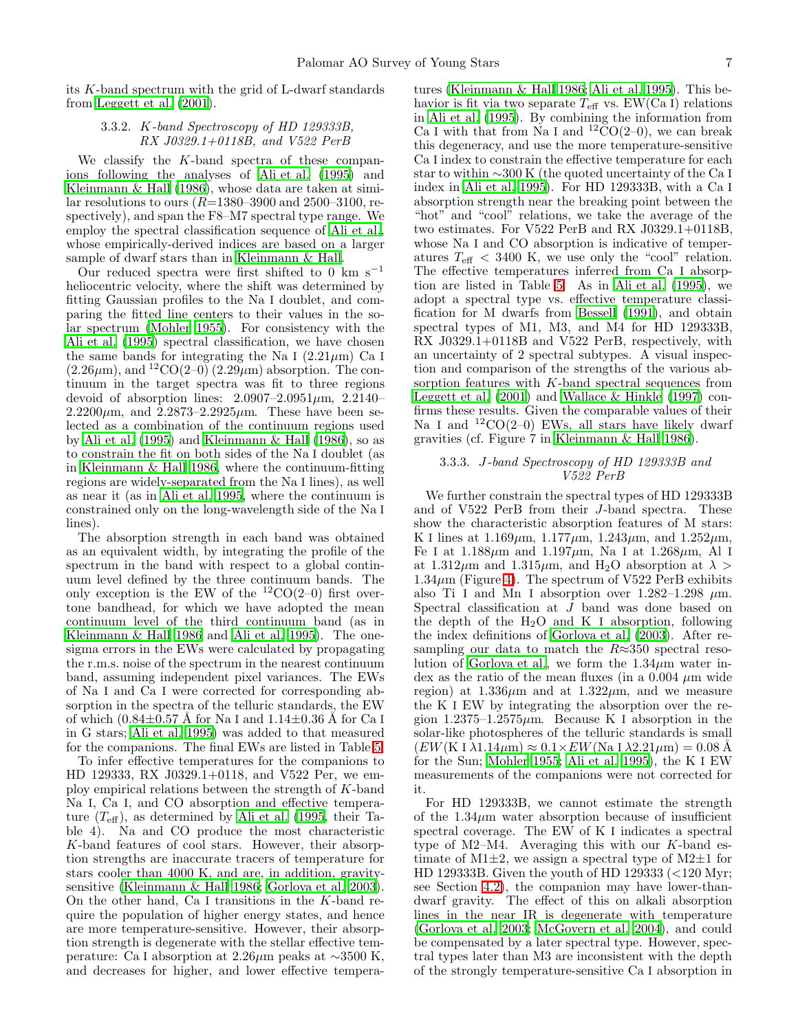<span id="page-6-0"></span>its K-band spectrum with the grid of L-dwarf standards from [Leggett et al. \(2001\)](#page-13-42).

# 3.3.2. K*-band Spectroscopy of HD 129333B, RX J0329.1+0118B, and V522 PerB*

We classify the K-band spectra of these companions following the analyses of [Ali et al. \(1995](#page-12-10)) and [Kleinmann & Hall \(1986\)](#page-13-40), whose data are taken at similar resolutions to ours  $(R=1380-3900$  and  $2500-3100$ , respectively), and span the F8–M7 spectral type range. We employ the spectral classification sequence of [Ali et al.](#page-12-10), whose empirically-derived indices are based on a larger sample of dwarf stars than in [Kleinmann & Hall.](#page-13-40)

Our reduced spectra were first shifted to 0  ${\rm km\ s^{-1}}$ heliocentric velocity, where the shift was determined by fitting Gaussian profiles to the Na I doublet, and comparing the fitted line centers to their values in the solar spectrum [\(Mohler 1955\)](#page-13-43). For consistency with the [Ali et al. \(1995\)](#page-12-10) spectral classification, we have chosen the same bands for integrating the Na I  $(2.21 \mu m)$  Ca I  $(2.26 \mu m)$ , and  ${}^{12}CO(2-0)$   $(2.29 \mu m)$  absorption. The continuum in the target spectra was fit to three regions devoid of absorption lines:  $2.0907-2.0951 \mu m$ ,  $2.2140 2.2200 \mu m$ , and  $2.2873 - 2.2925 \mu m$ . These have been selected as a combination of the continuum regions used by [Ali et al. \(1995](#page-12-10)) and [Kleinmann & Hall \(1986\)](#page-13-40), so as to constrain the fit on both sides of the Na I doublet (as in [Kleinmann & Hall 1986](#page-13-40), where the continuum-fitting regions are widely-separated from the Na I lines), as well as near it (as in [Ali et al. 1995](#page-12-10), where the continuum is constrained only on the long-wavelength side of the Na I lines).

The absorption strength in each band was obtained as an equivalent width, by integrating the profile of the spectrum in the band with respect to a global continuum level defined by the three continuum bands. The only exception is the EW of the  ${}^{12}CO(2-0)$  first overtone bandhead, for which we have adopted the mean continuum level of the third continuum band (as in [Kleinmann & Hall 1986](#page-13-40) and [Ali et al. 1995\)](#page-12-10). The onesigma errors in the EWs were calculated by propagating the r.m.s. noise of the spectrum in the nearest continuum band, assuming independent pixel variances. The EWs of Na I and Ca I were corrected for corresponding absorption in the spectra of the telluric standards, the EW of which  $(0.84\pm0.57 \text{ Å}$  for Na I and  $1.14\pm0.36 \text{ Å}$  for Ca I in G stars; [Ali et al. 1995](#page-12-10)) was added to that measured for the companions. The final EWs are listed in Table [5.](#page-16-0)

To infer effective temperatures for the companions to HD 129333, RX J0329.1+0118, and V522 Per, we employ empirical relations between the strength of K-band Na I, Ca I, and CO absorption and effective temperature  $(T_{\text{eff}})$ , as determined by [Ali et al. \(1995,](#page-12-10) their Table 4). Na and CO produce the most characteristic K-band features of cool stars. However, their absorption strengths are inaccurate tracers of temperature for stars cooler than 4000 K, and are, in addition, gravitysensitive [\(Kleinmann & Hall 1986;](#page-13-40) [Gorlova et al. 2003\)](#page-13-38). On the other hand, Ca I transitions in the K-band require the population of higher energy states, and hence are more temperature-sensitive. However, their absorption strength is degenerate with the stellar effective temperature: Ca I absorption at 2.26µm peaks at ∼3500 K, and decreases for higher, and lower effective tempera-

tures [\(Kleinmann & Hall 1986;](#page-13-40) [Ali et al. 1995\)](#page-12-10). This behavior is fit via two separate  $T_{\text{eff}}$  vs. EW(Ca I) relations in [Ali et al. \(1995](#page-12-10)). By combining the information from Ca I with that from Na I and  ${}^{12}CO(2-0)$ , we can break this degeneracy, and use the more temperature-sensitive Ca I index to constrain the effective temperature for each star to within ∼300 K (the quoted uncertainty of the Ca I index in [Ali et al. 1995\)](#page-12-10). For HD 129333B, with a Ca I absorption strength near the breaking point between the "hot" and "cool" relations, we take the average of the two estimates. For V522 PerB and RX J0329.1+0118B, whose Na I and CO absorption is indicative of temperatures  $T_{\text{eff}}$  < 3400 K, we use only the "cool" relation. The effective temperatures inferred from Ca I absorption are listed in Table [5.](#page-16-0) As in [Ali et al. \(1995](#page-12-10)), we adopt a spectral type vs. effective temperature classification for M dwarfs from [Bessell \(1991\)](#page-12-12), and obtain spectral types of M1, M3, and M4 for HD 129333B, RX J0329.1+0118B and V522 PerB, respectively, with an uncertainty of 2 spectral subtypes. A visual inspection and comparison of the strengths of the various absorption features with  $K$ -band spectral sequences from [Leggett et al. \(2001\)](#page-13-42) and [Wallace & Hinkle \(1997\)](#page-13-44) confirms these results. Given the comparable values of their Na I and  ${}^{12}CO(2-0)$  EWs, all stars have likely dwarf gravities (cf. Figure 7 in [Kleinmann & Hall 1986\)](#page-13-40).

### 3.3.3. J*-band Spectroscopy of HD 129333B and V522 PerB*

We further constrain the spectral types of HD 129333B and of V522 PerB from their J-band spectra. These show the characteristic absorption features of M stars: K I lines at  $1.169 \mu m$ ,  $1.177 \mu m$ ,  $1.243 \mu m$ , and  $1.252 \mu m$ , Fe I at  $1.188 \mu m$  and  $1.197 \mu m$ , Na I at  $1.268 \mu m$ , Al I at  $1.312\mu$ m and  $1.315\mu$ m, and H<sub>2</sub>O absorption at  $\lambda >$  $1.34\mu$ m (Figure [4\)](#page-19-0). The spectrum of V522 PerB exhibits also Ti I and Mn I absorption over  $1.282-1.298 \mu m$ . Spectral classification at J band was done based on the depth of the  $H_2O$  and K I absorption, following the index definitions of [Gorlova et al. \(2003\)](#page-13-38). After resampling our data to match the  $R \approx 350$  spectral reso-lution of [Gorlova et al.](#page-13-38), we form the  $1.34\mu$ m water index as the ratio of the mean fluxes (in a  $0.004 \mu m$  wide region) at  $1.336\mu$ m and at  $1.322\mu$ m, and we measure the K I EW by integrating the absorption over the region  $1.2375-1.2575\mu$ m. Because K I absorption in the solar-like photospheres of the telluric standards is small  $(EW(K I \lambda 1.14 \mu m) \approx 0.1 \times EW(Na I \lambda 2.21 \mu m) = 0.08 \text{ Å}$ for the Sun; [Mohler 1955;](#page-13-43) [Ali et al. 1995\)](#page-12-10), the K I EW measurements of the companions were not corrected for it.

For HD 129333B, we cannot estimate the strength of the  $1.34\mu$ m water absorption because of insufficient spectral coverage. The EW of K I indicates a spectral type of M2–M4. Averaging this with our  $K$ -band estimate of  $M1\pm2$ , we assign a spectral type of  $M2\pm1$  for HD 129333B. Given the youth of HD 129333 (<120 Myr; see Section [4.2\)](#page-7-1), the companion may have lower-thandwarf gravity. The effect of this on alkali absorption lines in the near IR is degenerate with temperature [\(Gorlova et al. 2003](#page-13-38); [McGovern et al. 2004](#page-13-45)), and could be compensated by a later spectral type. However, spectral types later than M3 are inconsistent with the depth of the strongly temperature-sensitive Ca I absorption in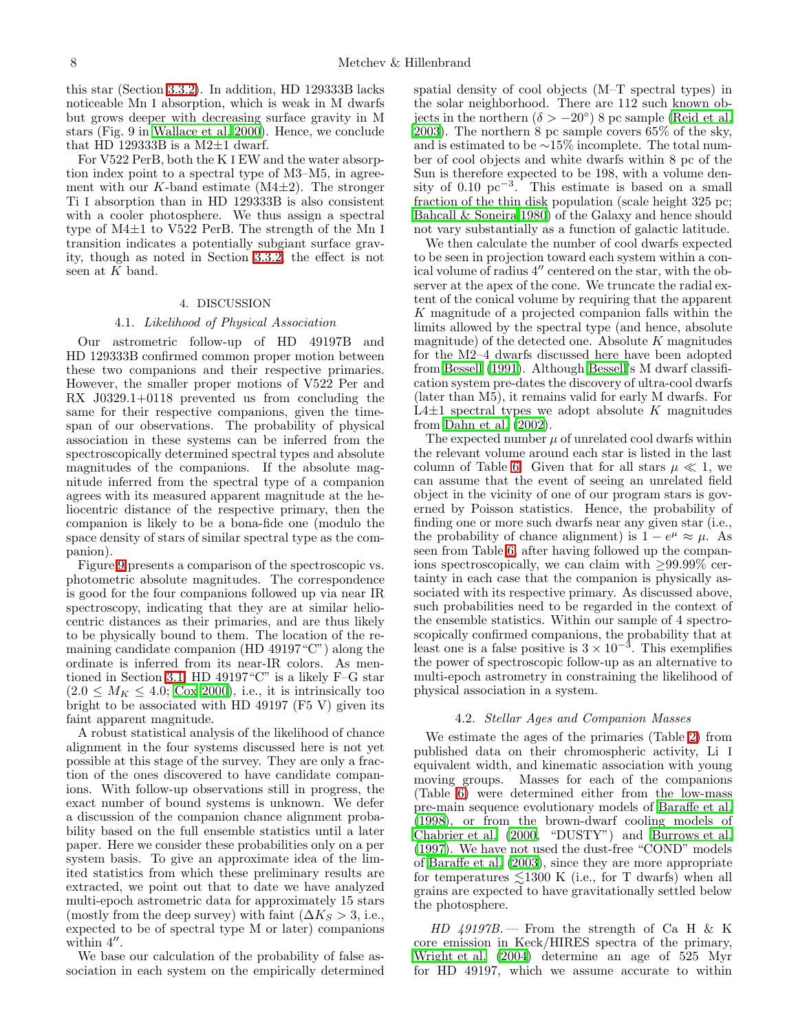this star (Section [3.3.2\)](#page-6-0). In addition, HD 129333B lacks noticeable Mn I absorption, which is weak in M dwarfs but grows deeper with decreasing surface gravity in M stars (Fig. 9 in [Wallace et al. 2000\)](#page-14-5). Hence, we conclude that HD 129333B is a M2 $\pm$ 1 dwarf.

For V522 PerB, both the K I EW and the water absorption index point to a spectral type of M3–M5, in agreement with our K-band estimate  $(M4\pm 2)$ . The stronger Ti I absorption than in HD 129333B is also consistent with a cooler photosphere. We thus assign a spectral type of M4±1 to V522 PerB. The strength of the Mn I transition indicates a potentially subgiant surface gravity, though as noted in Section [3.3.2,](#page-6-0) the effect is not seen at  $K$  band.

### 4. DISCUSSION

# 4.1. *Likelihood of Physical Association*

<span id="page-7-0"></span>Our astrometric follow-up of HD 49197B and HD 129333B confirmed common proper motion between these two companions and their respective primaries. However, the smaller proper motions of V522 Per and RX J0329.1+0118 prevented us from concluding the same for their respective companions, given the timespan of our observations. The probability of physical association in these systems can be inferred from the spectroscopically determined spectral types and absolute magnitudes of the companions. If the absolute magnitude inferred from the spectral type of a companion agrees with its measured apparent magnitude at the heliocentric distance of the respective primary, then the companion is likely to be a bona-fide one (modulo the space density of stars of similar spectral type as the companion).

Figure [9](#page-24-0) presents a comparison of the spectroscopic vs. photometric absolute magnitudes. The correspondence is good for the four companions followed up via near IR spectroscopy, indicating that they are at similar heliocentric distances as their primaries, and are thus likely to be physically bound to them. The location of the remaining candidate companion (HD 49197"C") along the ordinate is inferred from its near-IR colors. As mentioned in Section [3.1,](#page-4-0) HD 49197"C" is a likely F–G star  $(2.0 \leq M_K \leq 4.0; \text{Cox } 2000), \text{ i.e., it is intrinsically too}$ bright to be associated with HD 49197 (F5 V) given its faint apparent magnitude.

A robust statistical analysis of the likelihood of chance alignment in the four systems discussed here is not yet possible at this stage of the survey. They are only a fraction of the ones discovered to have candidate companions. With follow-up observations still in progress, the exact number of bound systems is unknown. We defer a discussion of the companion chance alignment probability based on the full ensemble statistics until a later paper. Here we consider these probabilities only on a per system basis. To give an approximate idea of the limited statistics from which these preliminary results are extracted, we point out that to date we have analyzed multi-epoch astrometric data for approximately 15 stars (mostly from the deep survey) with faint  $(\Delta K_S > 3, i.e.,$ expected to be of spectral type M or later) companions within 4".

We base our calculation of the probability of false association in each system on the empirically determined spatial density of cool objects (M–T spectral types) in the solar neighborhood. There are 112 such known objects in the northern  $(\delta > -20^{\circ})$  8 pc sample [\(Reid et al.](#page-13-46) [2003\)](#page-13-46). The northern 8 pc sample covers 65% of the sky, and is estimated to be ∼15% incomplete. The total number of cool objects and white dwarfs within 8 pc of the Sun is therefore expected to be 198, with a volume density of 0.10  $pc^{-3}$ . This estimate is based on a small fraction of the thin disk population (scale height 325 pc; [Bahcall & Soneira 1980\)](#page-12-13) of the Galaxy and hence should not vary substantially as a function of galactic latitude.

We then calculate the number of cool dwarfs expected to be seen in projection toward each system within a conical volume of radius 4′′ centered on the star, with the observer at the apex of the cone. We truncate the radial extent of the conical volume by requiring that the apparent K magnitude of a projected companion falls within the limits allowed by the spectral type (and hence, absolute magnitude) of the detected one. Absolute  $K$  magnitudes for the M2–4 dwarfs discussed here have been adopted from [Bessell \(1991\)](#page-12-12). Although [Bessell'](#page-12-12)s M dwarf classification system pre-dates the discovery of ultra-cool dwarfs (later than M5), it remains valid for early M dwarfs. For L4 $\pm$ 1 spectral types we adopt absolute K magnitudes from [Dahn et al. \(2002\)](#page-12-14).

The expected number  $\mu$  of unrelated cool dwarfs within the relevant volume around each star is listed in the last column of Table [6.](#page-16-1) Given that for all stars  $\mu \ll 1$ , we can assume that the event of seeing an unrelated field object in the vicinity of one of our program stars is governed by Poisson statistics. Hence, the probability of finding one or more such dwarfs near any given star (i.e., the probability of chance alignment) is  $1 - e^{\mu} \approx \mu$ . As seen from Table [6,](#page-16-1) after having followed up the companions spectroscopically, we can claim with  $\geq 99.99\%$  certainty in each case that the companion is physically associated with its respective primary. As discussed above, such probabilities need to be regarded in the context of the ensemble statistics. Within our sample of 4 spectroscopically confirmed companions, the probability that at least one is a false positive is  $3 \times 10^{-3}$ . This exemplifies the power of spectroscopic follow-up as an alternative to multi-epoch astrometry in constraining the likelihood of physical association in a system.

### 4.2. *Stellar Ages and Companion Masses*

<span id="page-7-1"></span>We estimate the ages of the primaries (Table [2\)](#page-15-1) from published data on their chromospheric activity, Li I equivalent width, and kinematic association with young moving groups. Masses for each of the companions (Table [6\)](#page-16-1) were determined either from the low-mass pre-main sequence evolutionary models of [Baraffe et al.](#page-12-15) [\(1998\)](#page-12-15), or from the brown-dwarf cooling models of [Chabrier et al. \(2000,](#page-12-16) "DUSTY") and [Burrows et al.](#page-12-1) [\(1997\)](#page-12-1). We have not used the dust-free "COND" models of [Baraffe et al. \(2003\)](#page-12-2), since they are more appropriate for temperatures  $\leq 1300$  K (i.e., for T dwarfs) when all grains are expected to have gravitationally settled below the photosphere.

*HD 49197B.* — From the strength of Ca H & K core emission in Keck/HIRES spectra of the primary, [Wright et al. \(2004\)](#page-14-6) determine an age of 525 Myr for HD 49197, which we assume accurate to within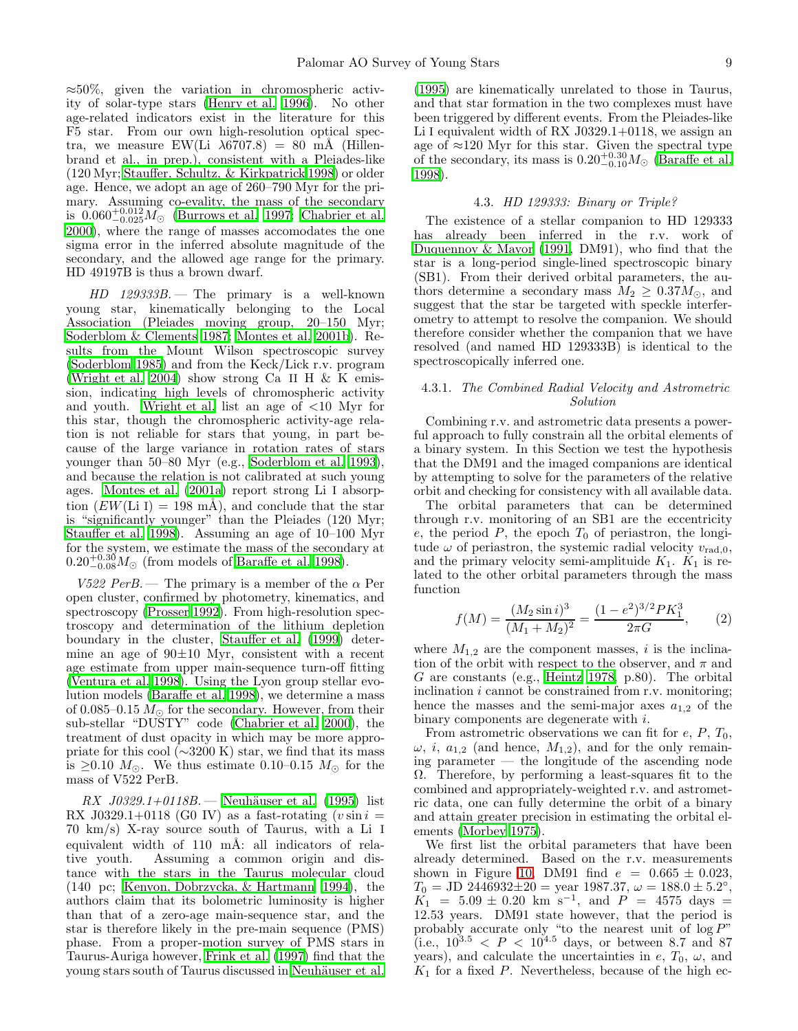$\approx 50\%$ , given the variation in chromospheric activity of solar-type stars [\(Henry et al. 1996](#page-13-47)). No other age-related indicators exist in the literature for this F5 star. From our own high-resolution optical spectra, we measure EW(Li  $\lambda$ 6707.8) = 80 mÅ (Hillenbrand et al., in prep.), consistent with a Pleiades-like (120 Myr; [Stauffer, Schultz, & Kirkpatrick 1998](#page-13-48)) or older age. Hence, we adopt an age of 260–790 Myr for the primary. Assuming co-evality, the mass of the secondary is  $0.060^{+0.012}_{-0.025}$   $M_{\odot}$  [\(Burrows et al. 1997](#page-12-1); [Chabrier et al.](#page-12-16) [2000\)](#page-12-16), where the range of masses accomodates the one sigma error in the inferred absolute magnitude of the secondary, and the allowed age range for the primary. HD 49197B is thus a brown dwarf.

*HD 129333B.* — The primary is a well-known young star, kinematically belonging to the Local Association (Pleiades moving group, 20–150 Myr; [Soderblom & Clements 1987](#page-13-49); [Montes et al. 2001b\)](#page-13-50). Results from the Mount Wilson spectroscopic survey [\(Soderblom 1985](#page-13-51)) and from the Keck/Lick r.v. program [\(Wright et al. 2004\)](#page-14-6) show strong Ca II H  $&$  K emission, indicating high levels of chromospheric activity and youth. [Wright et al.](#page-14-6) list an age of <10 Myr for this star, though the chromospheric activity-age relation is not reliable for stars that young, in part because of the large variance in rotation rates of stars younger than 50–80 Myr (e.g., [Soderblom et al. 1993\)](#page-13-52), and because the relation is not calibrated at such young ages. [Montes et al. \(2001a](#page-13-53)) report strong Li I absorption  $(EW(Li I) = 198 \text{ mA})$ , and conclude that the star is "significantly younger" than the Pleiades (120 Myr; [Stauffer et al. 1998\)](#page-13-48). Assuming an age of 10–100 Myr for the system, we estimate the mass of the secondary at  $0.20^{+0.30}_{-0.08} M_{\odot}$  (from models of [Baraffe et al. 1998\)](#page-12-15).

*V522 PerB.* — The primary is a member of the  $\alpha$  Per open cluster, confirmed by photometry, kinematics, and spectroscopy [\(Prosser 1992\)](#page-13-54). From high-resolution spectroscopy and determination of the lithium depletion boundary in the cluster, [Stauffer et al. \(1999\)](#page-13-55) determine an age of  $90\pm10$  Myr, consistent with a recent age estimate from upper main-sequence turn-off fitting [\(Ventura et al. 1998\)](#page-13-56). Using the Lyon group stellar evolution models [\(Baraffe et al. 1998\)](#page-12-15), we determine a mass of 0.085–0.15  $M_{\odot}$  for the secondary. However, from their sub-stellar "DUSTY" code [\(Chabrier et al. 2000\)](#page-12-16), the treatment of dust opacity in which may be more appropriate for this cool  $(\sim 3200 \text{ K})$  star, we find that its mass is ≥0.10  $M_{\odot}$ . We thus estimate 0.10–0.15  $M_{\odot}$  for the mass of V522 PerB.

*RX J0329.1+0118B.* — Neuhäuser et al. (1995) list RX J0329.1+0118 (G0 IV) as a fast-rotating  $(v \sin i =$ 70 km/s) X-ray source south of Taurus, with a Li I equivalent width of  $110$  mÅ: all indicators of relative youth. Assuming a common origin and distance with the stars in the Taurus molecular cloud (140 pc; [Kenyon, Dobrzycka, & Hartmann 1994\)](#page-13-58), the authors claim that its bolometric luminosity is higher than that of a zero-age main-sequence star, and the star is therefore likely in the pre-main sequence (PMS) phase. From a proper-motion survey of PMS stars in Taurus-Auriga however, [Frink et al. \(1997\)](#page-13-59) find that the young stars south of Taurus discussed in Neuhäuser et al.

[\(1995\)](#page-13-57) are kinematically unrelated to those in Taurus, and that star formation in the two complexes must have been triggered by different events. From the Pleiades-like Li I equivalent width of RX J0329.1+0118, we assign an age of ≈120 Myr for this star. Given the spectral type of the secondary, its mass is  $0.20^{+0.30}_{-0.10} M_{\odot}$  [\(Baraffe et al.](#page-12-15) [1998\)](#page-12-15).

#### 4.3. *HD 129333: Binary or Triple?*

The existence of a stellar companion to HD 129333 has already been inferred in the r.v. work of [Duquennoy & Mayor \(1991](#page-13-1), DM91), who find that the star is a long-period single-lined spectroscopic binary (SB1). From their derived orbital parameters, the authors determine a secondary mass  $M_2 \geq 0.37 M_{\odot}$ , and suggest that the star be targeted with speckle interferometry to attempt to resolve the companion. We should therefore consider whether the companion that we have resolved (and named HD 129333B) is identical to the spectroscopically inferred one.

### <span id="page-8-1"></span>4.3.1. *The Combined Radial Velocity and Astrometric Solution*

Combining r.v. and astrometric data presents a powerful approach to fully constrain all the orbital elements of a binary system. In this Section we test the hypothesis that the DM91 and the imaged companions are identical by attempting to solve for the parameters of the relative orbit and checking for consistency with all available data.

The orbital parameters that can be determined through r.v. monitoring of an SB1 are the eccentricity e, the period  $P$ , the epoch  $T_0$  of periastron, the longitude  $\omega$  of periastron, the systemic radial velocity  $v_{\text{rad,0}}$ , and the primary velocity semi-amplituide  $K_1$ .  $K_1$  is related to the other orbital parameters through the mass function

$$
f(M) = \frac{(M_2 \sin i)^3}{(M_1 + M_2)^2} = \frac{(1 - e^2)^{3/2} P K_1^3}{2 \pi G},
$$
 (2)

<span id="page-8-0"></span>where  $M_{1,2}$  are the component masses, i is the inclination of the orbit with respect to the observer, and  $\pi$  and G are constants (e.g., [Heintz 1978,](#page-13-60) p.80). The orbital inclination *i* cannot be constrained from r.v. monitoring; hence the masses and the semi-major axes  $a_{1,2}$  of the binary components are degenerate with i.

From astrometric observations we can fit for  $e, P, T_0$ ,  $\omega$ , *i*,  $a_{1,2}$  (and hence,  $M_{1,2}$ ), and for the only remaining parameter — the longitude of the ascending node Ω. Therefore, by performing a least-squares fit to the combined and appropriately-weighted r.v. and astrometric data, one can fully determine the orbit of a binary and attain greater precision in estimating the orbital elements [\(Morbey 1975\)](#page-13-61).

We first list the orbital parameters that have been already determined. Based on the r.v. measurements shown in Figure [10,](#page-25-0) DM91 find  $e = 0.665 \pm 0.023$ ,  $T_0 = \text{JD } 244\overline{6}932 \pm 20 = \text{year } 1987.37, \, \omega = 188.0 \pm 5.2^{\circ},$  $K_1$  = 5.09 ± 0.20 km s<sup>-1</sup>, and  $P = 4575$  days = 12.53 years. DM91 state however, that the period is probably accurate only "to the nearest unit of  $\log P$ " (i.e.,  $10^{3.5} < P < 10^{4.5}$  days, or between 8.7 and 87 years), and calculate the uncertainties in  $e$ ,  $T_0$ ,  $\omega$ , and  $K_1$  for a fixed P. Nevertheless, because of the high ec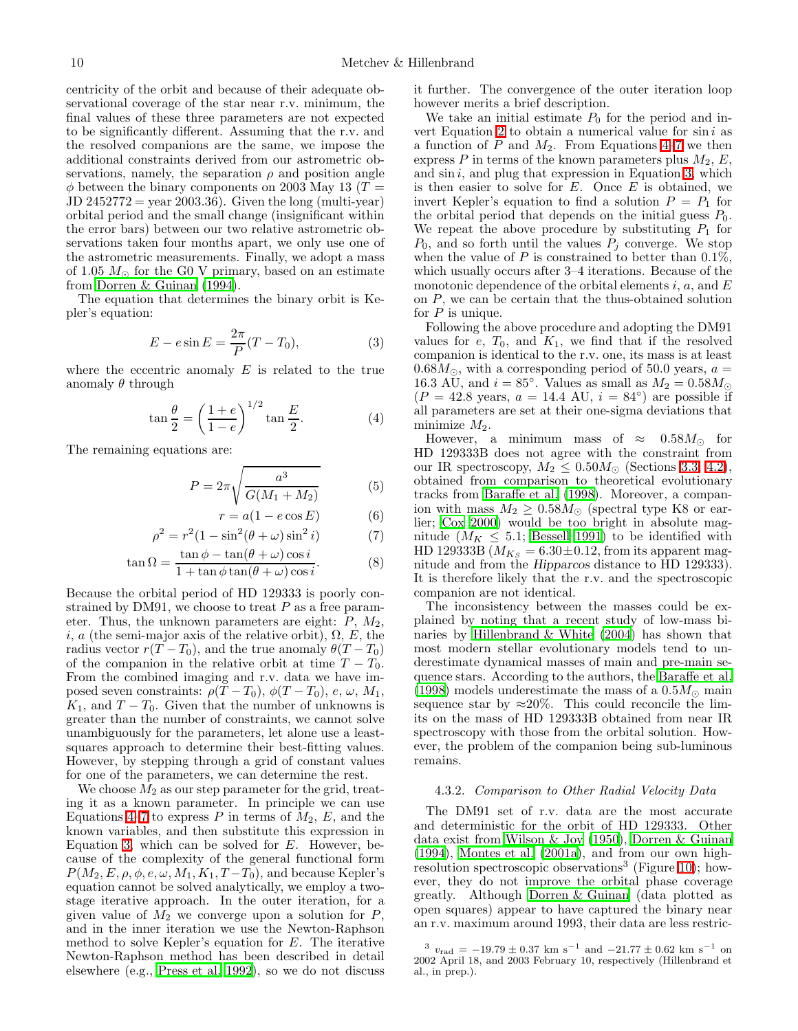centricity of the orbit and because of their adequate observational coverage of the star near r.v. minimum, the final values of these three parameters are not expected to be significantly different. Assuming that the r.v. and the resolved companions are the same, we impose the additional constraints derived from our astrometric observations, namely, the separation  $\rho$  and position angle  $\phi$  between the binary components on 2003 May 13 (T =  $JD 2452772 = year 2003.36$ . Given the long (multi-year) orbital period and the small change (insignificant within the error bars) between our two relative astrometric observations taken four months apart, we only use one of the astrometric measurements. Finally, we adopt a mass of 1.05  $M_{\odot}$  for the G0 V primary, based on an estimate from [Dorren & Guinan \(1994\)](#page-13-62).

<span id="page-9-2"></span>The equation that determines the binary orbit is Kepler's equation:

$$
E - e \sin E = \frac{2\pi}{P}(T - T_0),
$$
 (3)

<span id="page-9-0"></span>where the eccentric anomaly  $E$  is related to the true anomaly  $\theta$  through

$$
\tan\frac{\theta}{2} = \left(\frac{1+e}{1-e}\right)^{1/2} \tan\frac{E}{2}.\tag{4}
$$

<span id="page-9-1"></span>The remaining equations are:

$$
P = 2\pi \sqrt{\frac{a^3}{G(M_1 + M_2)}}\tag{5}
$$

$$
r = a(1 - e \cos E) \tag{6}
$$

$$
\rho^2 = r^2 (1 - \sin^2(\theta + \omega)\sin^2 i)
$$
 (7)

$$
\tan \Omega = \frac{\tan \phi - \tan(\theta + \omega)\cos i}{1 + \tan \phi \tan(\theta + \omega)\cos i}.
$$
 (8)

Because the orbital period of HD 129333 is poorly constrained by DM91, we choose to treat  $P$  as a free parameter. Thus, the unknown parameters are eight:  $P$ ,  $M_2$ , i, a (the semi-major axis of the relative orbit),  $\Omega$ , E, the radius vector  $r(T - T_0)$ , and the true anomaly  $\theta(T - T_0)$ of the companion in the relative orbit at time  $T - T_0$ . From the combined imaging and r.v. data we have imposed seven constraints:  $\rho(T - T_0)$ ,  $\phi(T - T_0)$ ,  $e, \omega, M_1$ ,  $K_1$ , and  $T - T_0$ . Given that the number of unknowns is greater than the number of constraints, we cannot solve unambiguously for the parameters, let alone use a leastsquares approach to determine their best-fitting values. However, by stepping through a grid of constant values for one of the parameters, we can determine the rest.

We choose  $M_2$  as our step parameter for the grid, treating it as a known parameter. In principle we can use Equations [4–](#page-9-0)[7](#page-9-1) to express P in terms of  $M_2$ , E, and the known variables, and then substitute this expression in Equation [3,](#page-9-2) which can be solved for  $E$ . However, because of the complexity of the general functional form  $P(M_2, E, \rho, \phi, e, \omega, M_1, K_1, T - T_0)$ , and because Kepler's equation cannot be solved analytically, we employ a twostage iterative approach. In the outer iteration, for a given value of  $M_2$  we converge upon a solution for  $P$ , and in the inner iteration we use the Newton-Raphson method to solve Kepler's equation for  $E$ . The iterative Newton-Raphson method has been described in detail elsewhere (e.g., [Press et al. 1992\)](#page-13-63), so we do not discuss

it further. The convergence of the outer iteration loop however merits a brief description.

We take an initial estimate  $P_0$  for the period and in-vert Equation [2](#page-8-0) to obtain a numerical value for  $\sin i$  as a function of  $P$  and  $M_2$ . From Equations [4](#page-9-0)[–7](#page-9-1) we then express P in terms of the known parameters plus  $M_2, E$ , and  $\sin i$ , and plug that expression in Equation [3,](#page-9-2) which is then easier to solve for  $E$ . Once  $E$  is obtained, we invert Kepler's equation to find a solution  $P = P_1$  for the orbital period that depends on the initial guess  $P_0$ . We repeat the above procedure by substituting  $P_1$  for  $P_0$ , and so forth until the values  $P_i$  converge. We stop when the value of  $P$  is constrained to better than 0.1%, which usually occurs after 3–4 iterations. Because of the monotonic dependence of the orbital elements i,  $a$ , and  $E$ on P, we can be certain that the thus-obtained solution for  $P$  is unique.

Following the above procedure and adopting the DM91 values for  $e$ ,  $T_0$ , and  $K_1$ , we find that if the resolved companion is identical to the r.v. one, its mass is at least  $0.68M_{\odot}$ , with a corresponding period of 50.0 years,  $a =$ 16.3 AU, and  $i = 85^\circ$ . Values as small as  $M_2 = 0.58 M_\odot$  $(P = 42.8 \text{ years}, a = 14.4 \text{ AU}, i = 84^{\circ})$  are possible if all parameters are set at their one-sigma deviations that minimize  $M_2$ .

However, a minimum mass of  $\approx$  0.58 $M_{\odot}$  for HD 129333B does not agree with the constraint from our IR spectroscopy,  $M_2 \leq 0.50 M_{\odot}$  (Sections [3.3,](#page-5-0) [4.2\)](#page-7-1), obtained from comparison to theoretical evolutionary tracks from [Baraffe et al. \(1998\)](#page-12-15). Moreover, a companion with mass  $M_2 \geq 0.58 M_{\odot}$  (spectral type K8 or earlier; [Cox 2000](#page-12-5)) would be too bright in absolute magnitude ( $M_K \leq 5.1$ ; [Bessell 1991\)](#page-12-12) to be identified with HD 129333B ( $M_{K_S} = 6.30 \pm 0.12$ , from its apparent magnitude and from the Hipparcos distance to HD 129333). It is therefore likely that the r.v. and the spectroscopic companion are not identical.

The inconsistency between the masses could be explained by noting that a recent study of low-mass binaries by Hillenbrand  $&$  White (2004) has shown that most modern stellar evolutionary models tend to underestimate dynamical masses of main and pre-main sequence stars. According to the authors, the [Baraffe et al.](#page-12-15) [\(1998\)](#page-12-15) models underestimate the mass of a  $0.5M_{\odot}$  main sequence star by  $\approx 20\%$ . This could reconcile the limits on the mass of HD 129333B obtained from near IR spectroscopy with those from the orbital solution. However, the problem of the companion being sub-luminous remains.

#### 4.3.2. *Comparison to Other Radial Velocity Data*

The DM91 set of r.v. data are the most accurate and deterministic for the orbit of HD 129333. Other data exist from [Wilson & Joy \(1950\)](#page-14-7), [Dorren & Guinan](#page-13-62) [\(1994\)](#page-13-62), [Montes et al. \(2001a\)](#page-13-53), and from our own high-resolution spectroscopic observations<sup>3</sup> (Figure [10\)](#page-25-0); however, they do not improve the orbital phase coverage greatly. Although [Dorren & Guinan](#page-13-62) (data plotted as open squares) appear to have captured the binary near an r.v. maximum around 1993, their data are less restric-

 $3 v_{\text{rad}} = -19.79 \pm 0.37 \text{ km s}^{-1} \text{ and } -21.77 \pm 0.62 \text{ km s}^{-1} \text{ on}$ 2002 April 18, and 2003 February 10, respectively (Hillenbrand et al., in prep.).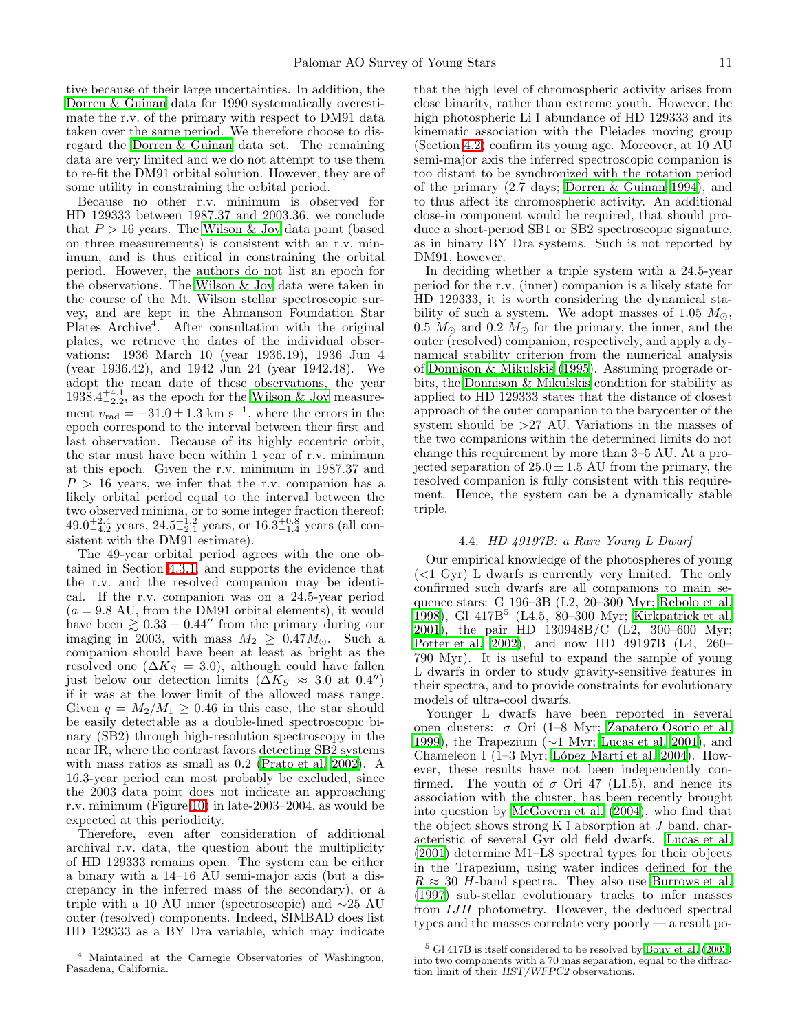tive because of their large uncertainties. In addition, the [Dorren & Guinan](#page-13-62) data for 1990 systematically overestimate the r.v. of the primary with respect to DM91 data taken over the same period. We therefore choose to disregard the [Dorren & Guinan](#page-13-62) data set. The remaining data are very limited and we do not attempt to use them to re-fit the DM91 orbital solution. However, they are of some utility in constraining the orbital period.

Because no other r.v. minimum is observed for HD 129333 between 1987.37 and 2003.36, we conclude that  $P > 16$  years. The [Wilson & Joy](#page-14-7) data point (based on three measurements) is consistent with an r.v. minimum, and is thus critical in constraining the orbital period. However, the authors do not list an epoch for the observations. The [Wilson & Joy](#page-14-7) data were taken in the course of the Mt. Wilson stellar spectroscopic survey, and are kept in the Ahmanson Foundation Star Plates Archive<sup>4</sup>. After consultation with the original plates, we retrieve the dates of the individual observations: 1936 March 10 (year 1936.19), 1936 Jun 4 (year 1936.42), and 1942 Jun 24 (year 1942.48). We adopt the mean date of these observations, the year  $1938.4^{+4.1}_{-2.2}$ , as the epoch for the [Wilson & Joy](#page-14-7) measurement  $v_{\text{rad}} = -31.0 \pm 1.3 \text{ km s}^{-1}$ , where the errors in the epoch correspond to the interval between their first and last observation. Because of its highly eccentric orbit, the star must have been within 1 year of r.v. minimum at this epoch. Given the r.v. minimum in 1987.37 and  $P > 16$  years, we infer that the r.v. companion has a likely orbital period equal to the interval between the two observed minima, or to some integer fraction thereof:  $49.0^{+2.4}_{-4.2}$  years,  $24.5^{+1.2}_{-2.1}$  years, or  $16.3^{+0.8}_{-1.4}$  years (all consistent with the DM91 estimate).

The 49-year orbital period agrees with the one obtained in Section [4.3.1,](#page-8-1) and supports the evidence that the r.v. and the resolved companion may be identical. If the r.v. companion was on a 24.5-year period  $(a = 9.8 \text{ AU}, \text{ from the DM91 orbital elements}),$  it would have been  $\geq 0.33 - 0.44''$  from the primary during our imaging in 2003, with mass  $M_2 \geq 0.47 M_{\odot}$ . Such a companion should have been at least as bright as the resolved one  $(\Delta K_S = 3.0)$ , although could have fallen just below our detection limits ( $\Delta K_S \approx 3.0$  at 0.4") if it was at the lower limit of the allowed mass range. Given  $q = M_2/M_1 \geq 0.46$  in this case, the star should be easily detectable as a double-lined spectroscopic binary (SB2) through high-resolution spectroscopy in the near IR, where the contrast favors detecting SB2 systems with mass ratios as small as 0.2 [\(Prato et al. 2002\)](#page-13-65). A 16.3-year period can most probably be excluded, since the 2003 data point does not indicate an approaching r.v. minimum (Figure [10\)](#page-25-0) in late-2003–2004, as would be expected at this periodicity.

Therefore, even after consideration of additional archival r.v. data, the question about the multiplicity of HD 129333 remains open. The system can be either a binary with a 14–16 AU semi-major axis (but a discrepancy in the inferred mass of the secondary), or a triple with a 10 AU inner (spectroscopic) and ∼25 AU outer (resolved) components. Indeed, SIMBAD does list HD 129333 as a BY Dra variable, which may indicate

that the high level of chromospheric activity arises from close binarity, rather than extreme youth. However, the high photospheric Li I abundance of HD 129333 and its kinematic association with the Pleiades moving group (Section [4.2\)](#page-7-1) confirm its young age. Moreover, at 10 AU semi-major axis the inferred spectroscopic companion is too distant to be synchronized with the rotation period of the primary (2.7 days; [Dorren & Guinan 1994\)](#page-13-62), and to thus affect its chromospheric activity. An additional close-in component would be required, that should produce a short-period SB1 or SB2 spectroscopic signature, as in binary BY Dra systems. Such is not reported by DM91, however.

In deciding whether a triple system with a 24.5-year period for the r.v. (inner) companion is a likely state for HD 129333, it is worth considering the dynamical stability of such a system. We adopt masses of 1.05  $M_{\odot}$ , 0.5  $M_{\odot}$  and 0.2  $M_{\odot}$  for the primary, the inner, and the outer (resolved) companion, respectively, and apply a dynamical stability criterion from the numerical analysis of [Donnison & Mikulskis \(1995](#page-13-66)). Assuming prograde orbits, the [Donnison & Mikulskis](#page-13-66) condition for stability as applied to HD 129333 states that the distance of closest approach of the outer companion to the barycenter of the system should be >27 AU. Variations in the masses of the two companions within the determined limits do not change this requirement by more than 3–5 AU. At a projected separation of  $25.0 \pm 1.5$  AU from the primary, the resolved companion is fully consistent with this requirement. Hence, the system can be a dynamically stable triple.

### 4.4. *HD 49197B: a Rare Young L Dwarf*

Our empirical knowledge of the photospheres of young  $( $1 \text{ Gyr}$ ) L dwarfs is currently very limited. The only$ confirmed such dwarfs are all companions to main sequence stars: G 196–3B (L2, 20–300 Myr; [Rebolo et al.](#page-13-67) [1998\)](#page-13-67), Gl 417B<sup>5</sup> (L4.5, 80–300 Myr; [Kirkpatrick et al.](#page-13-68) [2001\)](#page-13-68), the pair HD 130948B/C (L2, 300–600 Myr; [Potter et al. 2002\)](#page-13-69), and now HD 49197B (L4, 260– 790 Myr). It is useful to expand the sample of young L dwarfs in order to study gravity-sensitive features in their spectra, and to provide constraints for evolutionary models of ultra-cool dwarfs.

Younger L dwarfs have been reported in several open clusters: σ Ori (1–8 Myr; [Zapatero Osorio et al.](#page-14-8) [1999\)](#page-14-8), the Trapezium (∼1 Myr; [Lucas et al. 2001\)](#page-13-70), and Chameleon I (1–3 Myr; López Martí et al. 2004). However, these results have not been independently confirmed. The youth of  $\sigma$  Ori 47 (L1.5), and hence its association with the cluster, has been recently brought into question by [McGovern et al. \(2004\)](#page-13-45), who find that the object shows strong K I absorption at J band, characteristic of several Gyr old field dwarfs. [Lucas et al.](#page-13-70) [\(2001\)](#page-13-70) determine M1–L8 spectral types for their objects in the Trapezium, using water indices defined for the  $R \approx 30$  H-band spectra. They also use [Burrows et al.](#page-12-1) [\(1997\)](#page-12-1) sub-stellar evolutionary tracks to infer masses from IJH photometry. However, the deduced spectral types and the masses correlate very poorly — a result po-

<sup>4</sup> Maintained at the Carnegie Observatories of Washington, Pasadena, California.

 $5$  Gl 417B is itself considered to be resolved by Bouy et al.  $(2003)$ into two components with a 70 mas separation, equal to the diffraction limit of their HST/WFPC2 observations.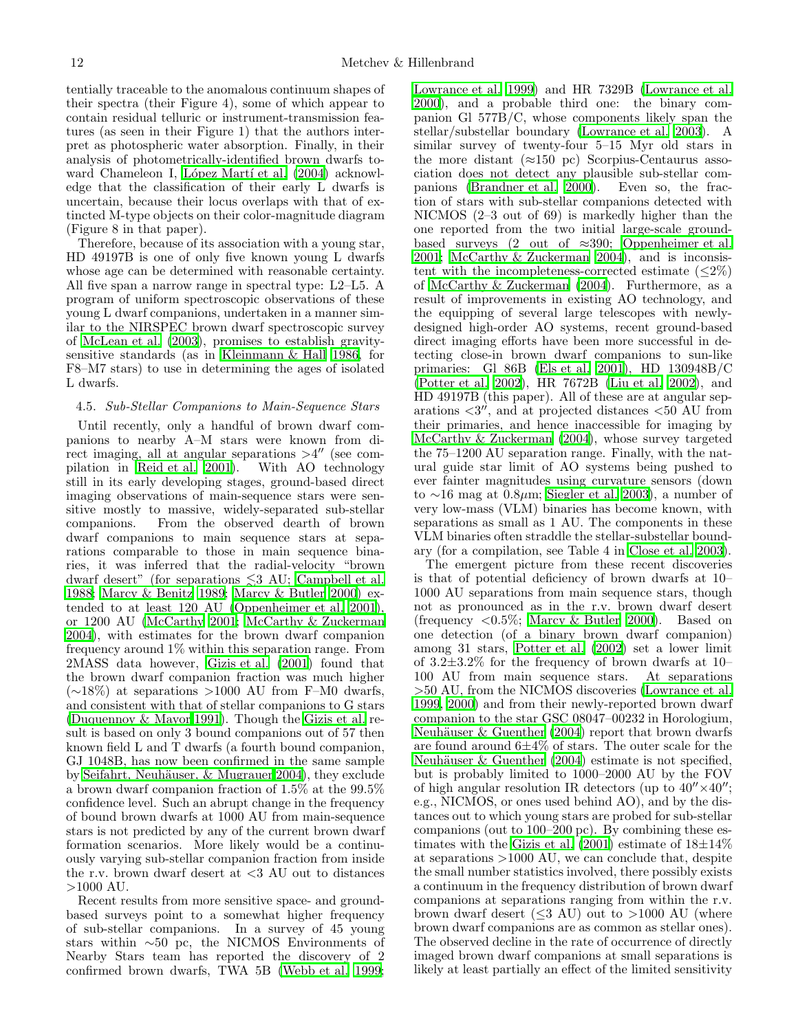tentially traceable to the anomalous continuum shapes of their spectra (their Figure 4), some of which appear to contain residual telluric or instrument-transmission features (as seen in their Figure 1) that the authors interpret as photospheric water absorption. Finally, in their analysis of photometrically-identified brown dwarfs toward Chameleon I, López Martí et al. (2004) acknowledge that the classification of their early L dwarfs is uncertain, because their locus overlaps with that of extincted M-type objects on their color-magnitude diagram (Figure 8 in that paper).

Therefore, because of its association with a young star, HD 49197B is one of only five known young L dwarfs whose age can be determined with reasonable certainty. All five span a narrow range in spectral type: L2–L5. A program of uniform spectroscopic observations of these young L dwarf companions, undertaken in a manner similar to the NIRSPEC brown dwarf spectroscopic survey of [McLean et al. \(2003\)](#page-13-39), promises to establish gravitysensitive standards (as in [Kleinmann & Hall 1986](#page-13-40), for F8–M7 stars) to use in determining the ages of isolated L dwarfs.

# 4.5. *Sub-Stellar Companions to Main-Sequence Stars*

Until recently, only a handful of brown dwarf companions to nearby A–M stars were known from direct imaging, all at angular separations  $>4''$  (see compilation in [Reid et al. 2001\)](#page-13-5). With AO technology still in its early developing stages, ground-based direct imaging observations of main-sequence stars were sensitive mostly to massive, widely-separated sub-stellar companions. From the observed dearth of brown dwarf companions to main sequence stars at separations comparable to those in main sequence binaries, it was inferred that the radial-velocity "brown dwarf desert" (for separations  $\leq 3$  AU; [Campbell et al.](#page-12-18) [1988;](#page-12-18) [Marcy & Benitz 1989;](#page-13-72) [Marcy & Butler 2000\)](#page-13-73) extended to at least 120 AU [\(Oppenheimer et al. 2001\)](#page-13-74), or 1200 AU [\(McCarthy 2001](#page-13-75); [McCarthy & Zuckerman](#page-13-14) [2004\)](#page-13-14), with estimates for the brown dwarf companion frequency around 1% within this separation range. From 2MASS data however, [Gizis et al. \(2001](#page-13-76)) found that the brown dwarf companion fraction was much higher  $(\sim 18\%)$  at separations >1000 AU from F–M0 dwarfs, and consistent with that of stellar companions to G stars [\(Duquennoy & Mayor 1991\)](#page-13-1). Though the [Gizis et al.](#page-13-76) result is based on only 3 bound companions out of 57 then known field L and T dwarfs (a fourth bound companion, GJ 1048B, has now been confirmed in the same sample by Seifahrt, Neuhäuser,  $\&$  Mugrauer 2004), they exclude a brown dwarf companion fraction of 1.5% at the 99.5% confidence level. Such an abrupt change in the frequency of bound brown dwarfs at 1000 AU from main-sequence stars is not predicted by any of the current brown dwarf formation scenarios. More likely would be a continuously varying sub-stellar companion fraction from inside the r.v. brown dwarf desert at  $\langle 3 \text{ AU} \rangle$  out to distances >1000 AU.

Recent results from more sensitive space- and groundbased surveys point to a somewhat higher frequency of sub-stellar companions. In a survey of 45 young stars within ∼50 pc, the NICMOS Environments of Nearby Stars team has reported the discovery of 2 confirmed brown dwarfs, TWA 5B [\(Webb et al. 1999;](#page-14-9)

[Lowrance et al. 1999\)](#page-13-78) and HR 7329B [\(Lowrance et al.](#page-13-79) [2000\)](#page-13-79), and a probable third one: the binary companion Gl 577B/C, whose components likely span the stellar/substellar boundary [\(Lowrance et al. 2003](#page-13-11)). A similar survey of twenty-four 5–15 Myr old stars in the more distant  $(\approx 150 \text{ pc})$  Scorpius-Centaurus association does not detect any plausible sub-stellar companions [\(Brandner et al. 2000](#page-12-19)). Even so, the fraction of stars with sub-stellar companions detected with NICMOS (2–3 out of 69) is markedly higher than the one reported from the two initial large-scale groundbased surveys (2 out of  $\approx 390$ ; [Oppenheimer et al.](#page-13-74) [2001;](#page-13-74) [McCarthy & Zuckerman 2004\)](#page-13-14), and is inconsistent with the incompleteness-corrected estimate  $\langle \langle 2 \rangle \rangle$ of [McCarthy & Zuckerman \(2004\)](#page-13-14). Furthermore, as a result of improvements in existing AO technology, and the equipping of several large telescopes with newlydesigned high-order AO systems, recent ground-based direct imaging efforts have been more successful in detecting close-in brown dwarf companions to sun-like primaries: Gl 86B [\(Els et al. 2001\)](#page-13-6), HD 130948B/C [\(Potter et al. 2002\)](#page-13-69), HR 7672B [\(Liu et al. 2002\)](#page-13-7), and HD 49197B (this paper). All of these are at angular separations  $\langle 3^n \rangle$ , and at projected distances  $\langle 50 \rangle$  AU from their primaries, and hence inaccessible for imaging by [McCarthy & Zuckerman \(2004](#page-13-14)), whose survey targeted the 75–1200 AU separation range. Finally, with the natural guide star limit of AO systems being pushed to ever fainter magnitudes using curvature sensors (down to ∼16 mag at 0.8µm; [Siegler et al. 2003\)](#page-13-80), a number of very low-mass (VLM) binaries has become known, with separations as small as 1 AU. The components in these VLM binaries often straddle the stellar-substellar boundary (for a compilation, see Table 4 in [Close et al. 2003\)](#page-12-3).

The emergent picture from these recent discoveries is that of potential deficiency of brown dwarfs at 10– 1000 AU separations from main sequence stars, though not as pronounced as in the r.v. brown dwarf desert (frequency <0.5%; [Marcy & Butler 2000\)](#page-13-73). Based on one detection (of a binary brown dwarf companion) among 31 stars, [Potter et al. \(2002](#page-13-69)) set a lower limit of  $3.2\pm3.2\%$  for the frequency of brown dwarfs at 10– 100 AU from main sequence stars. At separations >50 AU, from the NICMOS discoveries [\(Lowrance et al.](#page-13-78) [1999,](#page-13-78) [2000\)](#page-13-79) and from their newly-reported brown dwarf companion to the star GSC 08047–00232 in Horologium, Neuhäuser  $&$  Guenther (2004) report that brown dwarfs are found around 6±4% of stars. The outer scale for the Neuhäuser  $&$  Guenther (2004) estimate is not specified, but is probably limited to 1000–2000 AU by the FOV of high angular resolution IR detectors (up to  $40'' \times 40''$ ; e.g., NICMOS, or ones used behind AO), and by the distances out to which young stars are probed for sub-stellar companions (out to 100–200 pc). By combining these estimates with the Gizis et al.  $(2001)$  estimate of  $18\pm14\%$ at separations >1000 AU, we can conclude that, despite the small number statistics involved, there possibly exists a continuum in the frequency distribution of brown dwarf companions at separations ranging from within the r.v. brown dwarf desert  $(<3 \text{ AU})$  out to  $>1000 \text{ AU}$  (where brown dwarf companions are as common as stellar ones). The observed decline in the rate of occurrence of directly imaged brown dwarf companions at small separations is likely at least partially an effect of the limited sensitivity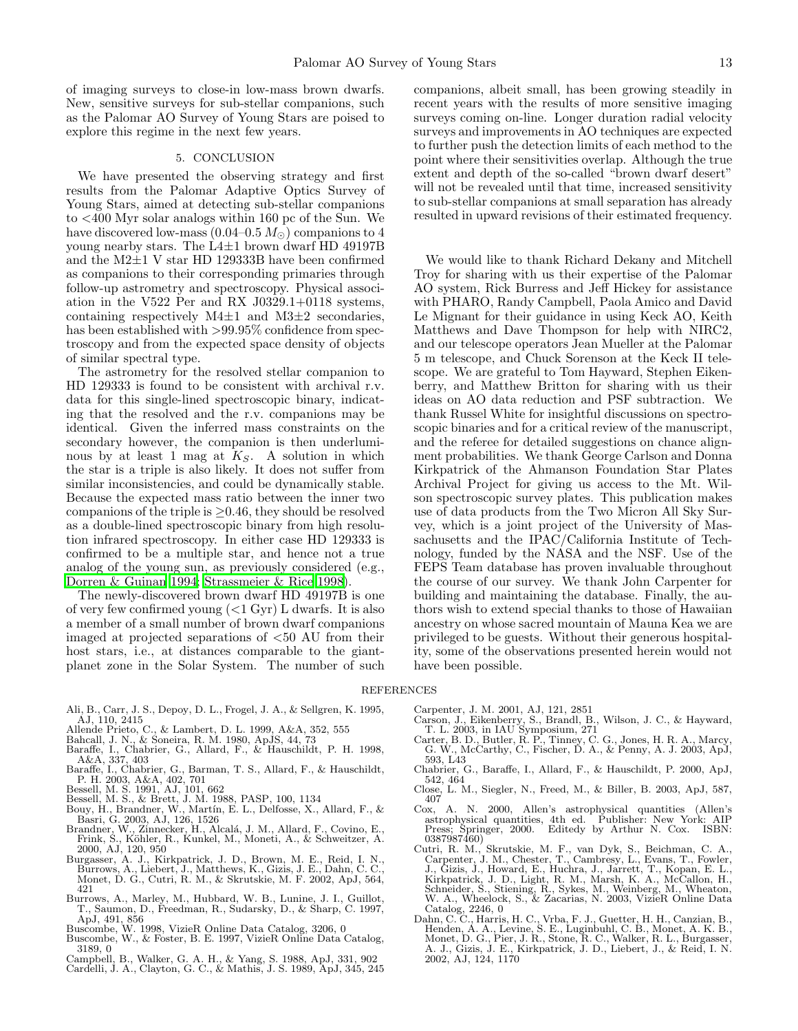of imaging surveys to close-in low-mass brown dwarfs. New, sensitive surveys for sub-stellar companions, such as the Palomar AO Survey of Young Stars are poised to explore this regime in the next few years.

#### 5. CONCLUSION

We have presented the observing strategy and first results from the Palomar Adaptive Optics Survey of Young Stars, aimed at detecting sub-stellar companions to <400 Myr solar analogs within 160 pc of the Sun. We have discovered low-mass  $(0.04-0.5 M_{\odot})$  companions to 4 young nearby stars. The  $L4\pm1$  brown dwarf HD 49197B and the M2±1 V star HD 129333B have been confirmed as companions to their corresponding primaries through follow-up astrometry and spectroscopy. Physical association in the V522 Per and RX J0329.1+0118 systems, containing respectively  $M4\pm1$  and  $M3\pm2$  secondaries, has been established with >99.95% confidence from spectroscopy and from the expected space density of objects of similar spectral type.

The astrometry for the resolved stellar companion to HD 129333 is found to be consistent with archival r.v. data for this single-lined spectroscopic binary, indicating that the resolved and the r.v. companions may be identical. Given the inferred mass constraints on the secondary however, the companion is then underluminous by at least 1 mag at  $K_S$ . A solution in which the star is a triple is also likely. It does not suffer from similar inconsistencies, and could be dynamically stable. Because the expected mass ratio between the inner two companions of the triple is  $\geq$  0.46, they should be resolved as a double-lined spectroscopic binary from high resolution infrared spectroscopy. In either case HD 129333 is confirmed to be a multiple star, and hence not a true analog of the young sun, as previously considered (e.g., [Dorren & Guinan 1994;](#page-13-62) [Strassmeier & Rice 1998\)](#page-13-81).

The newly-discovered brown dwarf HD 49197B is one of very few confirmed young  $(<1 \text{ Gyr})$  L dwarfs. It is also a member of a small number of brown dwarf companions imaged at projected separations of <50 AU from their host stars, i.e., at distances comparable to the giantplanet zone in the Solar System. The number of such

companions, albeit small, has been growing steadily in recent years with the results of more sensitive imaging surveys coming on-line. Longer duration radial velocity surveys and improvements in AO techniques are expected to further push the detection limits of each method to the point where their sensitivities overlap. Although the true extent and depth of the so-called "brown dwarf desert" will not be revealed until that time, increased sensitivity to sub-stellar companions at small separation has already resulted in upward revisions of their estimated frequency.

We would like to thank Richard Dekany and Mitchell Troy for sharing with us their expertise of the Palomar AO system, Rick Burress and Jeff Hickey for assistance with PHARO, Randy Campbell, Paola Amico and David Le Mignant for their guidance in using Keck AO, Keith Matthews and Dave Thompson for help with NIRC2, and our telescope operators Jean Mueller at the Palomar 5 m telescope, and Chuck Sorenson at the Keck II telescope. We are grateful to Tom Hayward, Stephen Eikenberry, and Matthew Britton for sharing with us their ideas on AO data reduction and PSF subtraction. We thank Russel White for insightful discussions on spectroscopic binaries and for a critical review of the manuscript, and the referee for detailed suggestions on chance alignment probabilities. We thank George Carlson and Donna Kirkpatrick of the Ahmanson Foundation Star Plates Archival Project for giving us access to the Mt. Wilson spectroscopic survey plates. This publication makes use of data products from the Two Micron All Sky Survey, which is a joint project of the University of Massachusetts and the IPAC/California Institute of Technology, funded by the NASA and the NSF. Use of the FEPS Team database has proven invaluable throughout the course of our survey. We thank John Carpenter for building and maintaining the database. Finally, the authors wish to extend special thanks to those of Hawaiian ancestry on whose sacred mountain of Mauna Kea we are privileged to be guests. Without their generous hospitality, some of the observations presented herein would not have been possible.

#### <span id="page-12-22"></span><span id="page-12-16"></span><span id="page-12-4"></span><span id="page-12-0"></span>REFERENCES

- <span id="page-12-10"></span>Ali, B., Carr, J. S., Depoy, D. L., Frogel, J. A., & Sellgren, K. 1995, AJ, 110, 2415
- <span id="page-12-9"></span>
- <span id="page-12-15"></span><span id="page-12-13"></span>
- Allende Prieto, C., & Lambert, D. L. 1999, A&A, 352, 555 Bahcall, J. N., & Soneira, R. M. 1980, ApJS, 44, 73 Baraffe, I., Chabrier, G., Allard, F., & Hauschildt, P. H. 1998, A&A, 337, 403
- <span id="page-12-2"></span>Baraffe, I., Chabrier, G., Barman, T. S., Allard, F., & Hauschildt, P. H. 2003, A&A, 402, 701 Bessell, M. S. 1991, AJ, 101, 662
- <span id="page-12-12"></span>
- <span id="page-12-7"></span>
- Bessell, M. S., & Brett, J. M. 1988, PASP, 100, 1134<br>Bouy, H., Brandner, W., Martín, E. L., Delfosse, X., Allard, F., &
- <span id="page-12-19"></span><span id="page-12-17"></span>Brandner, W., Zinnecker, H., Alcalá, J. M., Allard, F., Covino, E., Frink, S., Köhler, R., Kunkel, M., Moneti, A., & Schweitzer, A. 2000, AJ, 120, 950
- <span id="page-12-11"></span>Burgasser, A. J., Kirkpatrick, J. D., Brown, M. E., Reid, I. N., Burrows, A., Liebert, J., Matthews, K., Gizis, J. E., Dahn, C. C., Monet, D. G., Cutri, R. M., & Skrutskie, M. F. 2002, ApJ, 564, 421
- <span id="page-12-1"></span>Burrows, A., Marley, M., Hubbard, W. B., Lunine, J. I., Guillot, T., Saumon, D., Freedman, R., Sudarsky, D., & Sharp, C. 1997,
- <span id="page-12-21"></span>
- ApJ, 491, 856 Buscombe, W. 1998, VizieR Online Data Catalog, 3206, 0 Buscombe, W., & Foster, B. E. 1997, VizieR Online Data Catalog, 3189, 0
- 
- <span id="page-12-20"></span><span id="page-12-18"></span><span id="page-12-8"></span>Campbell, B., Walker, G. A. H., & Yang, S. 1988, ApJ, 331, 902 Cardelli, J. A., Clayton, G. C., & Mathis, J. S. 1989, ApJ, 345, 245
- Carpenter, J. M. 2001, AJ, 121, 2851
- Carson, J., Eikenberry, S., Brandl, B., Wilson, J. C., & Hayward,<br>T. L. 2003, in IAU Symposium, 271<br>Carter, B. D., Butler, R. P., Tinney, C. G., Jones, H. R. A., Marcy,<br>G. W., McCarthy, C., Fischer, D. A., & Penny, A. J. 2
- 593, L43
- Chabrier, G., Baraffe, I., Allard, F., & Hauschildt, P. 2000, ApJ, 542, 464
- <span id="page-12-3"></span>Close, L. M., Siegler, N., Freed, M., & Biller, B. 2003, ApJ, 587, 407
- <span id="page-12-5"></span>Cox, A. N. 2000, Allen's astrophysical quantities (Allen's astrophysical quantities, 4th ed. Publisher: New York: AIP Press; Springer, 2000. Editedy by Arthur N. Cox. ISBN: 0387987460)
- <span id="page-12-6"></span>Cutri, R. M., Skrutskie, M. F., van Dyk, S., Beichman, C. A., Carpenter, J. M., Chester, T., Cambresy, L., Evans, T., Fowler, J., Gizis, J., Howard, E., Hirkpatrick, J. D., Light, R. M., Marsh, K. A., McDan, E., Kirkpatric
- <span id="page-12-14"></span>Catalog, 2246, 0<br>Dahn, C. C., Harris, H. C., Vrba, F. J., Guetter, H. H., Canzian, B.,<br>Henden, A. A., Levine, S. E., Luginbuhl, C. B., Monet, A. K. B.,<br>Monet, D. G., Pier, J. R., Stone, R. C., Walker, R. L., Burgasser,<br>A. 2002, AJ, 124, 1170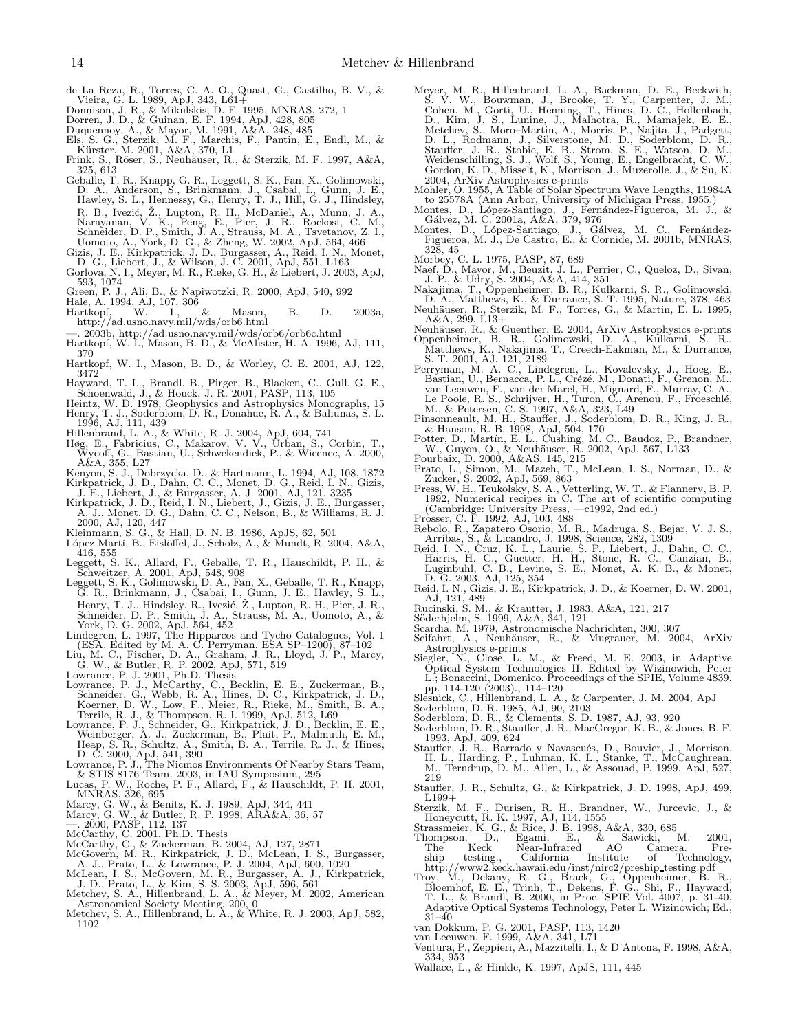- <span id="page-13-9"></span>de La Reza, R., Torres, C. A. O., Quast, G., Castilho, B. V., & Vieira, G. L. 1989, ApJ, 343, L61+
- <span id="page-13-66"></span>Donnison, J. R., & Mikulskis, D. F. 1995, MNRAS, 272, 1
- 
- <span id="page-13-6"></span>
- <span id="page-13-62"></span><span id="page-13-1"></span>Dorren, J. D., & Guinan, E. F. 1994, ApJ, 428, 805 Duquennoy, A., & Mayor, M. 1991, A&A, 248, 485 Els, S. G., Sterzik, M. F., Marchis, F., Pantin, E., Endl, M., & K¨urster, M. 2001, A&A, 370, L1 Frink, S., Röser, S., Neuhäuser, R., & Sterzik, M. F. 1997, A&A,
- <span id="page-13-59"></span>325, 613
- <span id="page-13-37"></span>Geballe, T. R., Knapp, G. R., Leggett, S. K., Fan, X., Golimowski, D. A., Anderson, S., Brinkmann, J., Csabai, I., Gunn, J. E., Hawley, S. L., Hennessy, G., Henry, T. J., Hill, G. J., Hindsley, R. B., Ivezić, Ž., Lupton, R. H., McDaniel, A., Munn, J. A., Narayanan, V. K., Peng, E., Pier, J. R., Rockosi, C. M., Schneider, D. P., Smith, J. A., Strauss, M. A., Tsvetanov, Z. I.,
- 
- <span id="page-13-76"></span>Uomoto, A., York, D. G., & Zheng, W. 2002, ApJ, 564, 466<br>Gizis, J. E., Kirkpatrick, J. D., Burgasser, A., Reid, I. N., Monet,<br>D. G., Liebert, J., & Wilson, J. C. 2001, ApJ, 551, L163<br>Gorlova, N. I., Meyer, M. R., Rieke, G. 593, 1074
- <span id="page-13-38"></span><span id="page-13-27"></span><span id="page-13-15"></span>
- <span id="page-13-23"></span>
- Green, P. J., Ali, B., & Napiwotzki, R. 2000, ApJ, 540, 992 Hale, A. 1994, AJ, 107, 306 Hartkopf, W. I., & Mason, B. D. 2003a, http://ad.usno.navy.mil/wds/orb6.html
- 
- <span id="page-13-28"></span><span id="page-13-24"></span>—. 2003b, http://ad.usno.navy.mil/wds/orb6/orb6c.html Hartkopf, W. I., Mason, B. D., & McAlister, H. A. 1996, AJ, 111, 370
- <span id="page-13-22"></span>Hartkopf, W. I., Mason, B. D., & Worley, C. E. 2001, AJ, 122, 3472
- <span id="page-13-18"></span>Hayward, T. L., Brandl, B., Pirger, B., Blacken, C., Gull, G. E.,
- <span id="page-13-60"></span>Schoenwald, J., & Houck, J. R. 2001, PASP, 113, 105 Heintz, W. D. 1978, Geophysics and Astrophysics Monographs, 15 Henry, T. J., Soderblom, D. R., Donahue, R. A., & Baliunas, S. L. 1996, AJ, 111, 439
- <span id="page-13-47"></span>
- <span id="page-13-64"></span><span id="page-13-34"></span>Hillenbrand, L. A., & White, R. J. 2004, ApJ, 604, 741 Høg, E., Fabricius, C., Makarov, V. V., Urban, S., Corbin, T., Wycoff, G., Bastian, U., Schwekendiek, P., & Wicenec, A. 2000,
- <span id="page-13-58"></span>A&A, 355, L27 Kenyon, S. J., Dobrzycka, D., & Hartmann, L. 1994, AJ, 108, 1872 Kirkpatrick, J. D., Dahn, C. C., Monet, D. G., Reid, I. N., Gizis,
- <span id="page-13-68"></span>
- <span id="page-13-41"></span>J. E., Liebert, J., & Burgasser, A. J. 2001, AJ, 121, 3235<br>Kirkpatrick, J. D., Reid, I. N., Liebert, J., Gizis, J. E., Burgasser,<br>A. J., Monet, D. G., Dahn, C. C., Nelson, B., & Williams, R. J.<br>2000, AJ, 120, 447<br>Kleinmann
- <span id="page-13-40"></span>
- <span id="page-13-71"></span>López Martí, B., Éislöffel, J., Scholz, A., & Mundt, R. 2004, A&A, 416, 555
- <span id="page-13-42"></span>Leggett, S. K., Allard, F., Geballe, T. R., Hauschildt, P. H., & Schweitzer, A. 2001, ApJ, 548, 908 Leggett, S. K., Golimowski, D. A., Fan, X., Geballe, T. R., Knapp,
- <span id="page-13-20"></span>G. R., Brinkmann, J., Csabai, I., Gunn, J. E., Hawley, S. L.,
- <span id="page-13-35"></span>
- <span id="page-13-7"></span>
- <span id="page-13-10"></span>
- <span id="page-13-78"></span>
- Henry, T. J., Hindsley, R., Ivezić, Ž., Lupton, R. H., Pier, J. R., Schneider, D. P., 2002, ApJ, 564, 452<br>
Lindegren, L. 1997, The Hipparcos and Tycho Catalogues, Vol. 1<br>
Lindegren, L. 1997, The Hipparcos and Tycho Catalo
- <span id="page-13-79"></span><span id="page-13-11"></span>
- <span id="page-13-70"></span>& STIS 8176 Team. 2003, in IAU Symposium, 295<br>Lucas, P. W., Roche, P. F., Allard, F., & Hauschildt, P. H. 2001,<br>MNRAS, 326, 695<br>Marcy, G. W., & Benitz, K. J. 1989, ApJ, 344, 441<br>Marcy, G. W., & Butler, R. P. 1998, ARA&A, 3
- <span id="page-13-72"></span><span id="page-13-3"></span>
- 
- <span id="page-13-75"></span><span id="page-13-73"></span>
- 
- 
- <span id="page-13-39"></span>
- <span id="page-13-45"></span><span id="page-13-14"></span>McGovern, M. R., Kirkpatrick, J. D., McLean, I. S., Burgasser, A. J., Prato, L., & Lowrance, P. J. 2004, ApJ, 600, 1020<br>McLean, I. S., McGovern, M. R., Burgasser, A. J., Kirkpatrick,<br>J. D., Prato, L., & Kim, S. S. 2003, Ap
- 
- <span id="page-13-29"></span><span id="page-13-16"></span>1102
- <span id="page-13-13"></span>Meyer, M. R., Hillenbrand, L. A., Backman, D. E., Beckwith, S. V. W., Bouwman, J., Brooke, T. Y., Carpenter, J. M., Cohen, M., Gorti, U., Henning, T., Hines, D. C., Hollenbach, D., Kim, J. S., Lunine, J., Malhotra, R., Mam
- 2004, ArXiv Astrophysics e-prints Mohler, O. 1955, A Table of Solar Spectrum Wave Lengths, 11984A to 25578A (Ann Arbor, University of Michigan Press, 1955.)
- <span id="page-13-53"></span><span id="page-13-50"></span><span id="page-13-43"></span>
- Montes, D., López-Santiago, J., Fernández-Figueroa, M. J., &<br>Gálvez, M. C. 2001a, A&A, 379, 976<br>Montes, D., López-Santiago, J., Gálvez, M. C., Fernández-<br>Figueroa, M. J., De Castro, E., & Cornide, M. 2001b, MNRAS, 328, 45
- Morbey, C. L. 1975, PASP, 87, 689
- <span id="page-13-61"></span><span id="page-13-4"></span>Naef, D., Mayor, M., Beuzit, J. L., Perrier, C., Queloz, D., Sivan,<br>J. P., & Udry, S. 2004, A&A, 414, 351<br>Nakajima, T., Oppenheimer, B. R., Kulkarni, S. R., Golimowski,<br>D. A., Matthews, K., & Durrance, S. T. 1995, Nature,
- <span id="page-13-2"></span>
- <span id="page-13-57"></span>Neuhäuser, R., Sterzik, M. F., Torres, G., & Martin, E. L. 1995,  $A&A, 299, L13+$
- Neuhäuser, R., & Guenther, E. 2004, ArXiv Astrophysics e-prints
- <span id="page-13-74"></span><span id="page-13-12"></span>Oppenheimer, B. R., Golimowski, D. A., Kulkarni, S. R., Matthews, K., Nakajima, T., Creech-Eakman, M., & Durrance,
- <span id="page-13-33"></span>S. T. 2001, AJ, 121, 2189<br>
Perryman, M. A. C., Lindegren, L., Kovalevsky, J., Hoeg, E., Bastian, U., Bernacca, P. L., Crézé, M., Donati, F., Grenon, M., van Leeuwen, F., van der Marel, H., Mignard, F., Murray, C. A., Le Po
- <span id="page-13-32"></span>
- <span id="page-13-69"></span>
- <span id="page-13-65"></span><span id="page-13-26"></span>
- <span id="page-13-63"></span>
- 
- <span id="page-13-67"></span><span id="page-13-54"></span><span id="page-13-46"></span>
- W., Guyon, O., & Neuhäuser, R. 2002, ApJ, 567, L133<br>Pourbaix, D. 2000, A&AS, 145, 215<br>Prato, L., Simon, M., Mazeh, T., McLean, I. S., Norman, D., &<br>Zucker, S. 2002, ApJ, 569, 863<br>Press, W. H., Teukolsky, S. A., Vetterling,
- <span id="page-13-5"></span>
- <span id="page-13-8"></span>Aucinski, S. M., & Krautter, J. 1983, A&A, 121, 217<br>Söderhjelm, S. 1999, A&A, 341, 121
- <span id="page-13-30"></span><span id="page-13-25"></span>
- Scardia, M. 1979, Astronomische Nachrichten, 300, 307 Seifahrt, A., Neuhäuser, R., & Mugrauer, M. 2004, ArXiv
- <span id="page-13-80"></span><span id="page-13-77"></span>Astrophysics e-prints<br>Siegler, N., Close, L.
- Siegler, N., Close, L. M., & Freed, M. E. 2003, in Adaptive Optical System Technologies II. Edited by Wizinowich, Peter L.; Bonaccini, Domenico. Proceedings of the SPIE, Volume 4839, pp. 114-120 (2003)., 114–120
- <span id="page-13-51"></span><span id="page-13-36"></span>Slesnick, C., Hillenbrand, L. A., & Carpenter, J. M. 2004, ApJ<br>Soderblom, D. R., 1985, AJ, 90, 2103<br>Soderblom, D. R., & Clements, S. D. 1987, AJ, 93, 920<br>Soderblom, D. R., Stauffer, J. R., MacGregor, K. B., & Jones, B. F.
- 
- <span id="page-13-52"></span><span id="page-13-49"></span>1993, ApJ, 409, 624
- <span id="page-13-55"></span>Stauffer, J. R., Barrado y Navascu´es, D., Bouvier, J., Morrison, H. L., Harding, P., Luhman, K. L., Stanke, T., McCaughrean, M., Terndrup, D. M., Allen, L., & Assouad, P. 1999, ApJ, 527, 219
- Stauffer, J. R., Schultz, G., & Kirkpatrick, J. D. 1998, ApJ, 499,
- <span id="page-13-48"></span><span id="page-13-0"></span>L199+ Sterzik, M. F., Durisen, R. H., Brandner, W., Jurcevic, J., & Honeycutt, R. K. 1997, AJ, 114, 1555 Strassmeier, K. G., & Rice, J. B. 1998, A&A, 330, 685 Thompson, D., Egami, E., & Sawicki, M. 2001,
- 
- 
- <span id="page-13-81"></span><span id="page-13-21"></span><span id="page-13-17"></span>The Keck Near-Infrared AO Camera. Preship testing., California Institute of Technology, http://www2.keck.hawaii.edu/inst/nirc2/preship\_testing.pdf<br>Troy, M., Dekany, R. G., Brack, G., Oppenheiner, B. R., Bloemhof, E. E., Tr 31–40
- <span id="page-13-31"></span>van Dokkum, P. G. 2001, PASP, 113, 1420
- van Leeuwen, F. 1999, A&A, 341, L71
- <span id="page-13-56"></span><span id="page-13-19"></span>Ventura, P., Zeppieri, A., Mazzitelli, I., & D'Antona, F. 1998, A&A, 334, 953
- <span id="page-13-44"></span>Wallace, L., & Hinkle, K. 1997, ApJS, 111, 445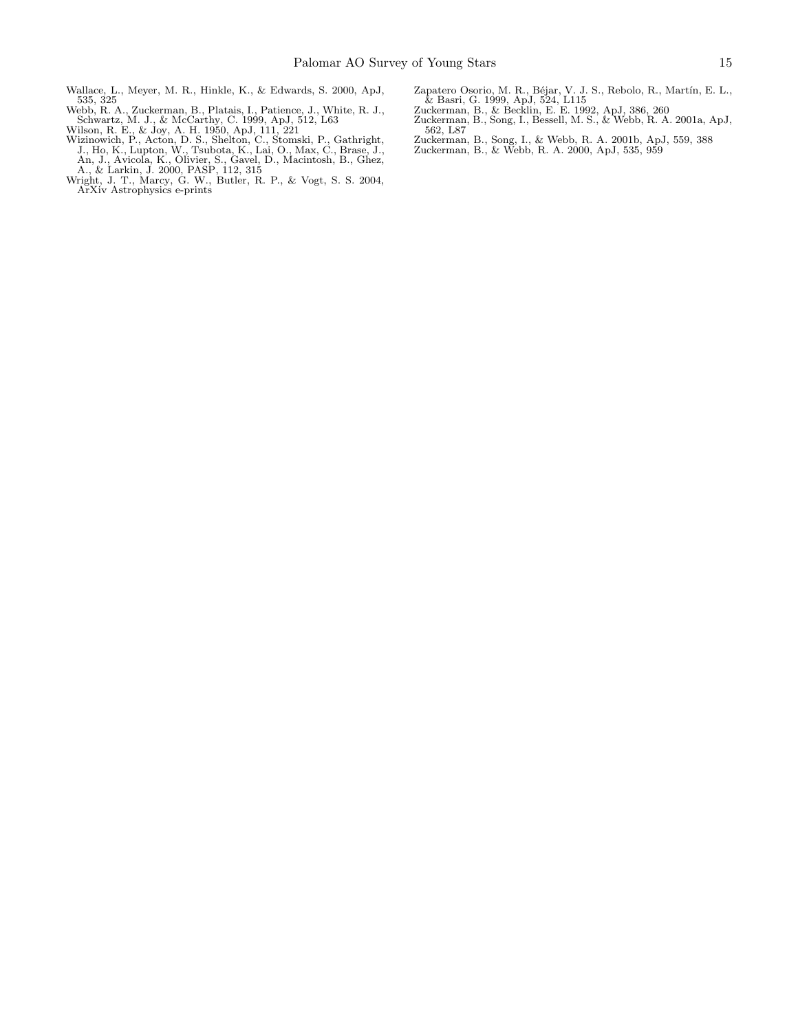- <span id="page-14-9"></span><span id="page-14-5"></span>
- <span id="page-14-7"></span><span id="page-14-4"></span>
- Schwartz, M. J., & McCarthy, C. 1999, ApJ, 512, L63<br>Wilson, R. E., & Joy, A. H. 1950, ApJ, 111, 221<br>Wizinowich, P., Acton, D. S., Shelton, C., Stomski, P., Gathright,<br>J., Ho, K., Lupton, W., Tsubota, K., Lai, O., Max, C.,
- <span id="page-14-6"></span>
- <span id="page-14-8"></span>Zapatero Osorio, M. R., Béjar, V. J. S., Rebolo, R., Martín, E. L.,<br>& Basri, G. 1999, ApJ, 524, L115<br>Zuckerman, B., & Becklin, E. E. 1992, ApJ, 386, 260<br>Zuckerman, B., Song, I., Bessell, M. S., & Webb, R. A. 2001a, ApJ,
- 
- <span id="page-14-3"></span><span id="page-14-1"></span>562, L87
- <span id="page-14-2"></span><span id="page-14-0"></span>
- Zuckerman, B., Song, I., & Webb, R. A. 2001b, ApJ, 559, 388 Zuckerman, B., & Webb, R. A. 2000, ApJ, 535, 959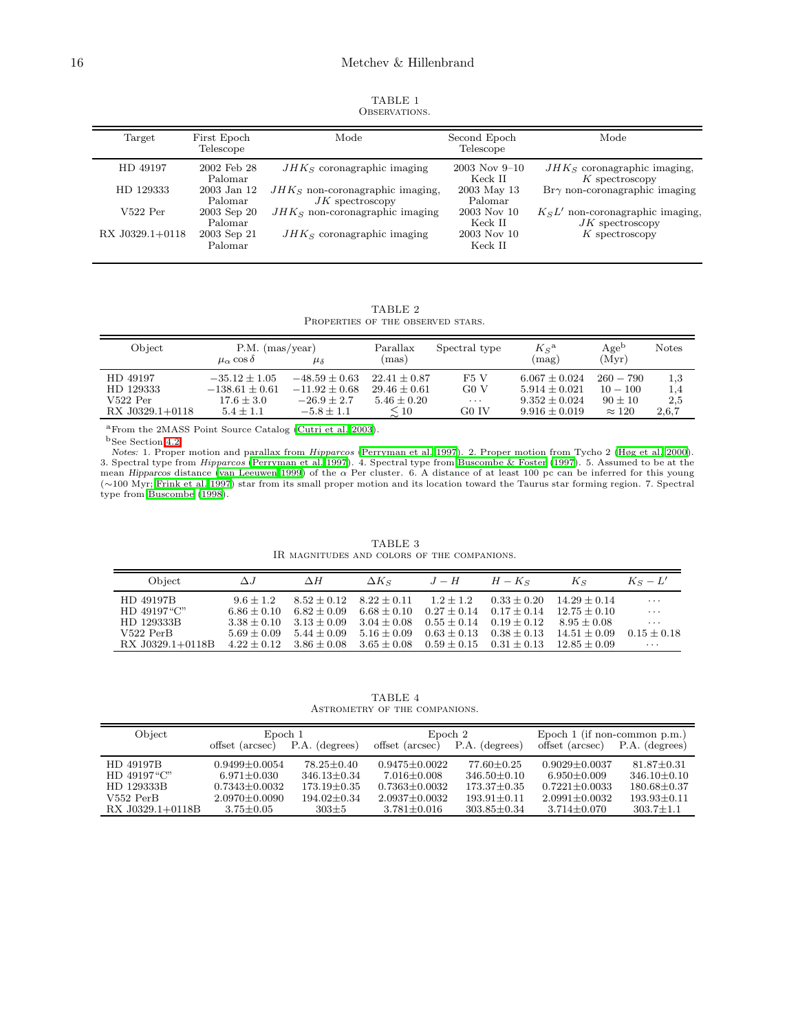| TABLE 1       |  |
|---------------|--|
| OBSERVATIONS. |  |

<span id="page-15-0"></span>

| Target          | First Epoch<br>Telescope | Mode                                                   | Second Epoch<br>Telescope    | Mode                                                     |
|-----------------|--------------------------|--------------------------------------------------------|------------------------------|----------------------------------------------------------|
| HD 49197        | 2002 Feb 28<br>Palomar   | $JHKS$ coronagraphic imaging                           | $2003$ Nov $9-10$<br>Keck II | $JHKS$ coronagraphic imaging,<br>$K$ spectroscopy        |
| HD 129333       | 2003 Jan 12<br>Palomar   | $JHKS$ non-coronagraphic imaging,<br>$JK$ spectroscopy | 2003 May 13<br>Palomar       | $Br\gamma$ non-coronagraphic imaging                     |
| $V522$ Per      | 2003 Sep 20<br>Palomar   | $JHKS$ non-coronagraphic imaging                       | 2003 Nov 10<br>Keck II       | $K_S L'$ non-coronagraphic imaging,<br>$JK$ spectroscopy |
| RX J0329.1+0118 | 2003 Sep 21<br>Palomar   | $JHKS$ coronagraphic imaging                           | 2003 Nov 10<br>Keck II       | $K$ spectroscopy                                         |

TABLE 2 PROPERTIES OF THE OBSERVED STARS.

<span id="page-15-1"></span>

| Object          | $P.M.$ (mas/year)<br>$\mu_{\alpha}$ cos $\delta$ | $\mu_{\delta}$  | Parallax<br>(mas) | Spectral type    | $K_S^{\mathbf{a}}$<br>(mag) | Age <sup>b</sup><br>(Myr) | <b>Notes</b> |
|-----------------|--------------------------------------------------|-----------------|-------------------|------------------|-----------------------------|---------------------------|--------------|
| HD 49197        | $-35.12 \pm 1.05$                                | $-48.59 + 0.63$ | $22.41 + 0.87$    | F5V              | $6.067 \pm 0.024$           | $260 - 790$               | 1,3          |
| HD 129333       | $-138.61 \pm 0.61$                               | $-11.92 + 0.68$ | $29.46 + 0.61$    | G <sub>0</sub> V | $5.914 + 0.021$             | $10 - 100$                | 1,4          |
| $V522$ Per      | $17.6 \pm 3.0$                                   | $-26.9 + 2.7$   | $5.46 \pm 0.20$   | $\cdots$         | $9.352 \pm 0.024$           | $90 + 10$                 | 2,5          |
| RX J0329.1+0118 | $5.4 \pm 1.1$                                    | $-5.8 \pm 1.1$  | $\leq 10$         | G0 IV            | $9.916 \pm 0.019$           | $\approx 120$             | 2,6,7        |

<sup>a</sup>From the 2MASS Point Source Catalog [\(Cutri et al. 2003\)](#page-12-6).

 $^{\rm b}$  See Section [4.2.](#page-7-1)

<span id="page-15-2"></span>Notes: 1. Proper motion and parallax from Hipparcos [\(Perryman et al. 1997\)](#page-13-33). 2. Proper motion from Tycho 2 [\(Høg et al. 2000](#page-13-34)). 3. Spectral type from Hipparcos [\(Perryman et al. 1997](#page-13-33)). 4. Spectral type from [Buscombe & Foster \(1997\)](#page-12-20). 5. Assumed to be at the mean Hipparcos distance [\(van Leeuwen 1999](#page-13-19)) of the  $\alpha$  Per cluster. 6. A distance of at least 100 pc can be inferred for this young (∼100 Myr; [Frink et al. 1997](#page-13-59)) star from its small proper motion and its location toward the Taurus star forming region. 7. Spectral type from [Buscombe \(1998\)](#page-12-21).

| TABLE 3 |  |  |  |  |  |                                             |
|---------|--|--|--|--|--|---------------------------------------------|
|         |  |  |  |  |  | IR MAGNITUDES AND COLORS OF THE COMPANIONS. |

| Object            | $\Delta J$      | $\Delta H$                      | $\Delta K$ s                | $J-H$                       | $H-K_S$                         | $K_{\mathcal{S}}$ | $K_S - L'$      |
|-------------------|-----------------|---------------------------------|-----------------------------|-----------------------------|---------------------------------|-------------------|-----------------|
| HD 49197B         | $9.6 + 1.2$     |                                 | $8.52 + 0.12$ $8.22 + 0.11$ | $1.2 + 1.2$                 | $0.33 + 0.20$                   | $14.29 + 0.14$    | $\cdots$        |
| $HD$ 49197" $C$ " | $6.86 \pm 0.10$ | $6.82 + 0.09$                   | $6.68 + 0.10$               | $0.27 + 0.14$ $0.17 + 0.14$ |                                 | $12.75 + 0.10$    | $\cdots$        |
| HD 129333B        |                 | $3.38 + 0.10$ $3.13 + 0.09$     | $3.04 + 0.08$               |                             | $0.55 + 0.14$ $0.19 + 0.12$     | $8.95 + 0.08$     | $\cdots$        |
| $V522$ PerB       |                 | $5.69 + 0.09$ $5.44 + 0.09$     | $5.16 \pm 0.09$             |                             | $0.63 \pm 0.13$ $0.38 \pm 0.13$ | $14.51 + 0.09$    | $0.15 \pm 0.18$ |
| RX J0329.1+0118B  |                 | $4.22 \pm 0.12$ $3.86 \pm 0.08$ | $3.65 \pm 0.08$             |                             | $0.59 \pm 0.15$ $0.31 \pm 0.13$ | $12.85 \pm 0.09$  | $\cdots$        |

TABLE 4 Astrometry of the companions.

<span id="page-15-3"></span>

| Object                          | offset (arcsec)                    | Epoch 1<br>Epoch 2<br>P.A. (degrees)<br>P.A. (degrees)<br>offset (arcsec) |                                          | Epoch $1$ (if non-common p.m.)<br>offset (arcsec)<br>P.A. (degrees) |                                        |                                      |
|---------------------------------|------------------------------------|---------------------------------------------------------------------------|------------------------------------------|---------------------------------------------------------------------|----------------------------------------|--------------------------------------|
| HD 49197B                       | $0.9499 + 0.0054$                  | $78.25 + 0.40$                                                            | $0.9475 + 0.0022$                        | $77.60 + 0.25$                                                      | $0.9029 + 0.0037$                      | $81.87 + 0.31$                       |
| $HD$ 49197" $C$ "               | $6.971 \pm 0.030$                  | $346.13 \pm 0.34$                                                         | $7.016 + 0.008$                          | $346.50 \pm 0.10$                                                   | $6.950 + 0.009$                        | $346.10 + 0.10$                      |
| HD 129333B                      | $0.7343 \pm 0.0032$                | $173.19 + 0.35$                                                           | $0.7363 + 0.0032$                        | $173.37 \pm 0.35$                                                   | $0.7221 + 0.0033$                      | $180.68 \pm 0.37$                    |
| $V552$ PerB<br>RX J0329.1+0118B | $2.0970 + 0.0090$<br>$3.75 + 0.05$ | $194.02 \pm 0.34$<br>$303 + 5$                                            | $2.0937 \pm 0.0032$<br>$3.781 \pm 0.016$ | $193.91 \pm 0.11$<br>$303.85 \pm 0.34$                              | $2.0991 \pm 0.0032$<br>$3.714 + 0.070$ | $193.93 \pm 0.11$<br>$303.7 \pm 1.1$ |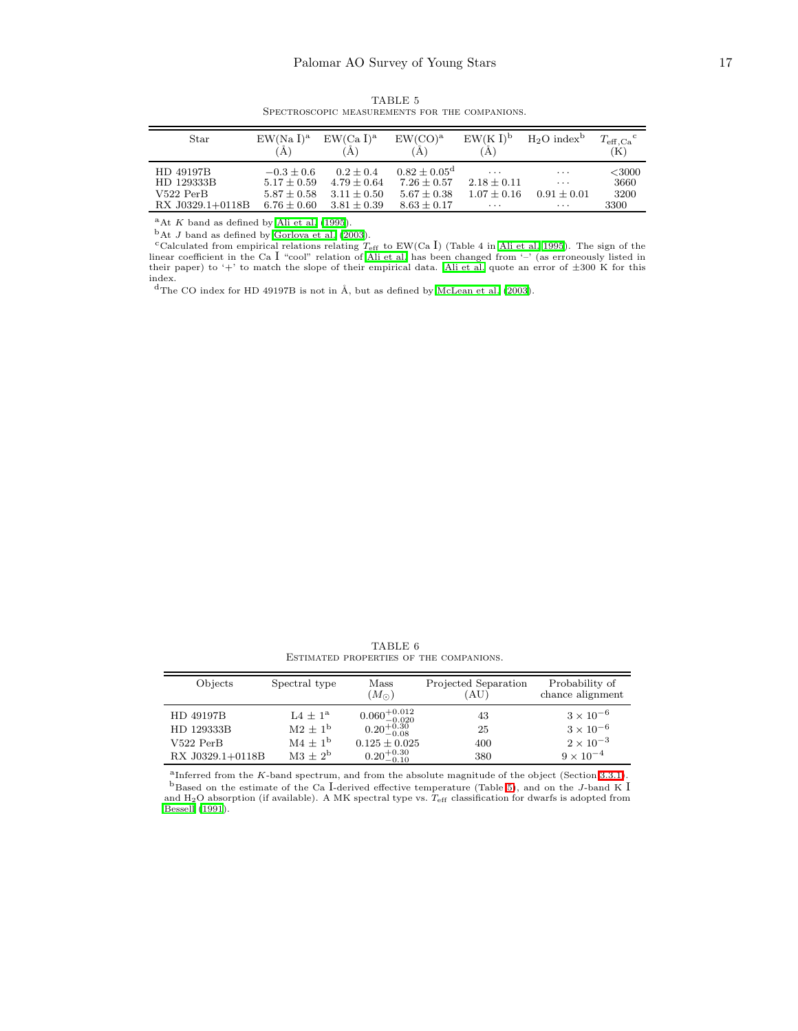<span id="page-16-0"></span>

| Star             | $EW(Na I)^a$<br>А | $EW(Ca I)^a$<br>A | $EW({\rm CO})^{\rm a}$  | $EW(K I)^b$<br>Ά        | $H_2O$ index <sup>b</sup> | $T_{\rm eff, Ca}{}^{\rm c}$<br>$(\mathrm{K})$ |
|------------------|-------------------|-------------------|-------------------------|-------------------------|---------------------------|-----------------------------------------------|
| HD 49197B        | $-0.3 + 0.6$      | $0.2 + 0.4$       | $0.82 \pm 0.05^{\rm d}$ | $\cdot$ $\cdot$ $\cdot$ | $\cdots$                  | $<$ 3000                                      |
| HD 129333B       | $5.17 \pm 0.59$   | $4.79 + 0.64$     | $7.26 + 0.57$           | $2.18 \pm 0.11$         | $\cdots$                  | 3660                                          |
| $V522$ PerB      | $5.87 \pm 0.58$   | $3.11 + 0.50$     | $5.67 \pm 0.38$         | $1.07 + 0.16$           | $0.91 + 0.01$             | 3200                                          |
| RX J0329.1+0118B | $6.76 \pm 0.60$   | $3.81 \pm 0.39$   | $8.63 \pm 0.17$         | $\cdots$                | $\cdots$                  | 3300                                          |

TABLE 5 Spectroscopic measurements for the companions.

 $A$ At K band as defined by [Ali et al. \(1995\)](#page-12-10).

 $<sup>b</sup>$ At J band as defined by [Gorlova et al. \(2003](#page-13-38)).</sup>

ccalculated from empirical relations relating  $T_{\text{eff}}$  to EW(Ca I) (Table 4 in [Ali et al. 1995\)](#page-12-10). The sign of the linear coefficient in the Ca I "cool" relation of [Ali et al.](#page-12-10) has been changed from '–' (as erroneously listed in their paper) to '+' to match the slope of their empirical data. [Ali et al.](#page-12-10) quote an error of  $\pm 300$  K for this index.

 $^{\rm d}{\rm The}$  CO index for HD 49197B is not in Å, but as defined by [McLean et al. \(2003](#page-13-39)).

TABLE 6 Estimated properties of the companions.

<span id="page-16-1"></span>

| Objects          | Spectral type  | Mass<br>$(M_{\odot})$                                        | Projected Separation<br>(AU) | Probability of<br>chance alignment |
|------------------|----------------|--------------------------------------------------------------|------------------------------|------------------------------------|
| HD 49197B        | $1.4 + 1^a$    |                                                              | 43                           | $3 \times 10^{-6}$                 |
| HD 129333B       | $M2 + 1b$      | $\substack{0.060^{+0.012}_{-0.020} \\ 0.20^{+0.30}_{-0.08}}$ | 25                           | $3 \times 10^{-6}$                 |
| $V522$ PerB      | $\rm M4 + 1^b$ | $0.125 \pm 0.025$                                            | 400                          | $2 \times 10^{-3}$                 |
| RX J0329.1+0118B | $M3 + 2^b$     | $0.20^{+0.30}_{-0.10}$                                       | 380                          | $9 \times 10^{-4}$                 |

<sup>a</sup>Inferred from the K-band spectrum, and from the absolute magnitude of the object (Section [3.3.1\)](#page-5-1).  $b$ Based on the estimate of the Ca I-derived effective temperature (Table [5\)](#page-16-0), and on the J-band K I and H<sub>2</sub>O absorption (if available). A MK spectral type vs.  $T_{\text{eff}}$  classification for dwarfs is adopted from [Bessell \(1991](#page-12-12)).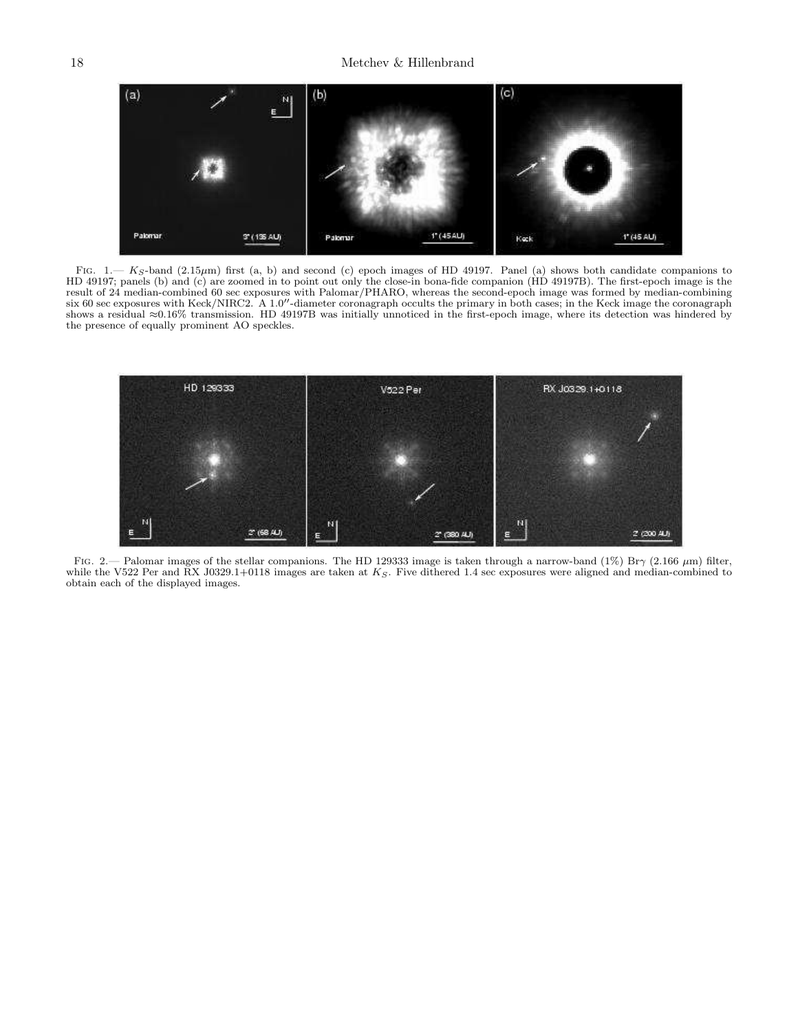

<span id="page-17-0"></span>FIG. 1.—  $K_S$ -band (2.15 $\mu$ m) first (a, b) and second (c) epoch images of HD 49197. Panel (a) shows both candidate companions to HD 49197; panels (b) and (c) are zoomed in to point out only the close-in bona-fide companion (HD 49197B). The first-epoch image is the result of 24 median-combined 60 sec exposures with Palomar/PHARO, whereas the second-epoch image was formed by median-combining six 60 sec exposures with Keck/NIRC2. A 1.0′′-diameter coronagraph occults the primary in both cases; in the Keck image the coronagraph shows a residual ≈0.16% transmission. HD 49197B was initially unnoticed in the first-epoch image, where its detection was hindered by the presence of equally prominent AO speckles.



<span id="page-17-1"></span>FIG. 2.— Palomar images of the stellar companions. The HD 129333 image is taken through a narrow-band (1%) Br $\gamma$  (2.166  $\mu$ m) filter, while the V522 Per and RX J0329.1+0118 images are taken at  $K_S$ . Five dithered 1.4 sec exposures were aligned and median-combined to obtain each of the displayed images.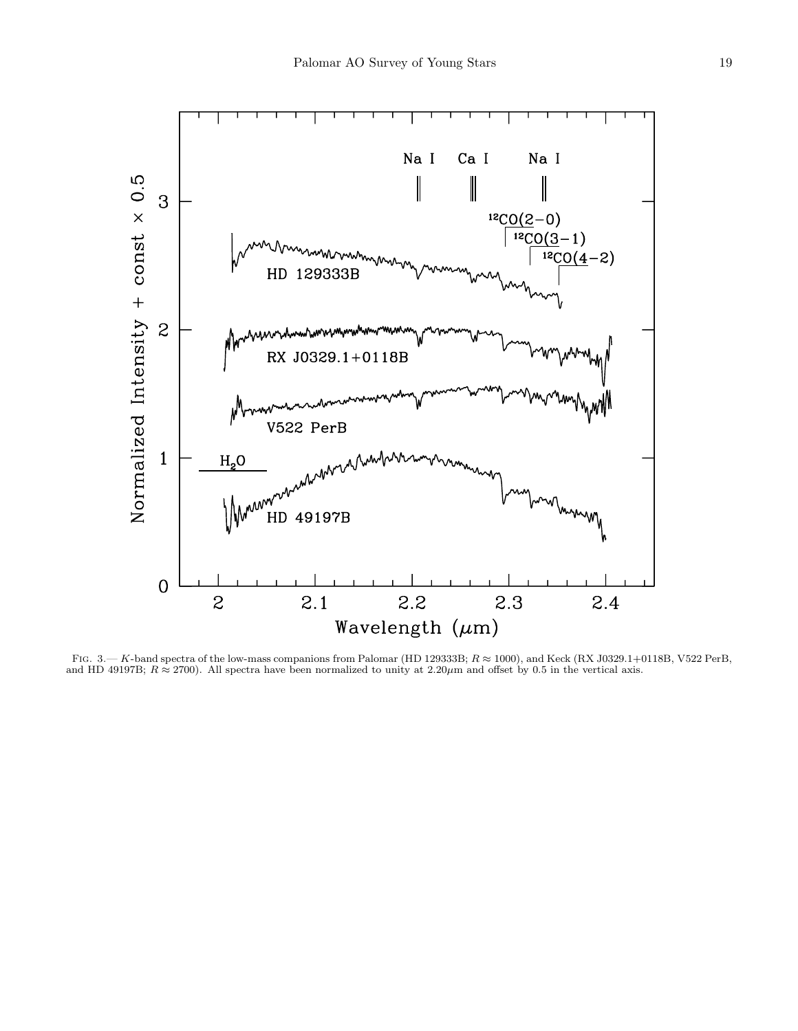

<span id="page-18-0"></span>FIG.  $3$ .— K-band spectra of the low-mass companions from Palomar (HD 129333B;  $R \approx 1000$ ), and Keck (RX J0329.1+0118B, V522 PerB, and HD 49197B;  $R \approx 2700$ ). All spectra have been normalized to unity at 2.20 $\mu$ m and offset by 0.5 in the vertical axis.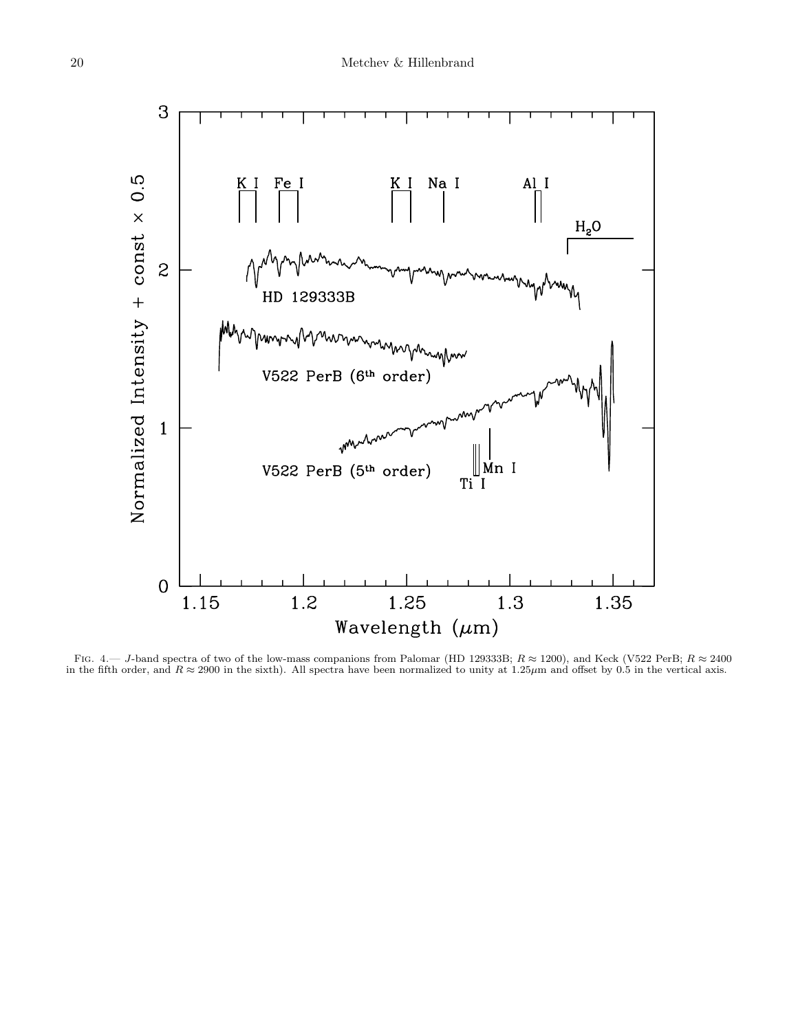

<span id="page-19-0"></span>FIG. 4.— J-band spectra of two of the low-mass companions from Palomar (HD 129333B;  $R \approx 1200$ ), and Keck (V522 PerB;  $R \approx 2400$ in the fifth order, and  $R \approx 2900$  in the sixth). All spectra have been normalized to unity at 1.25 $\mu$ m and offset by 0.5 in the vertical axis.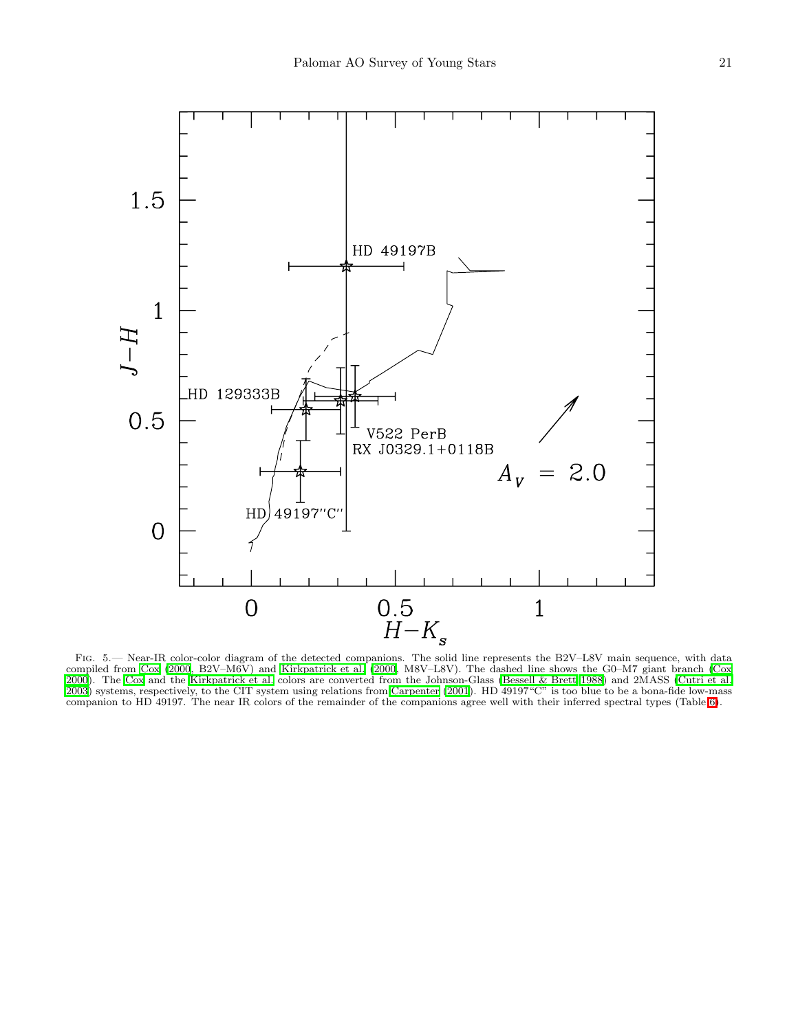

<span id="page-20-0"></span>Fig. 5.— Near-IR color-color diagram of the detected companions. The solid line represents the B2V–L8V main sequence, with data compiled from [Cox \(2000](#page-12-5), B2V–M6V) and [Kirkpatrick et al. \(2000,](#page-13-41) M8V–L8V). The dashed line shows the G0–M7 giant branch [\(Cox](#page-12-5) [2000\)](#page-12-5). The [Cox](#page-12-5) and the [Kirkpatrick et al.](#page-13-41) colors are converted from the Johnson-Glass [\(Bessell & Brett 1988\)](#page-12-7) and 2MASS [\(Cutri et al.](#page-12-6) [2003\)](#page-12-6) systems, respectively, to the CIT system using relations from [Carpenter \(2001](#page-12-22)). HD 49197"C" is too blue to be a bona-fide low-mass companion to HD 49197. The near IR colors of the remainder of the companions agree well with their inferred spectral types (Table [6\)](#page-16-1).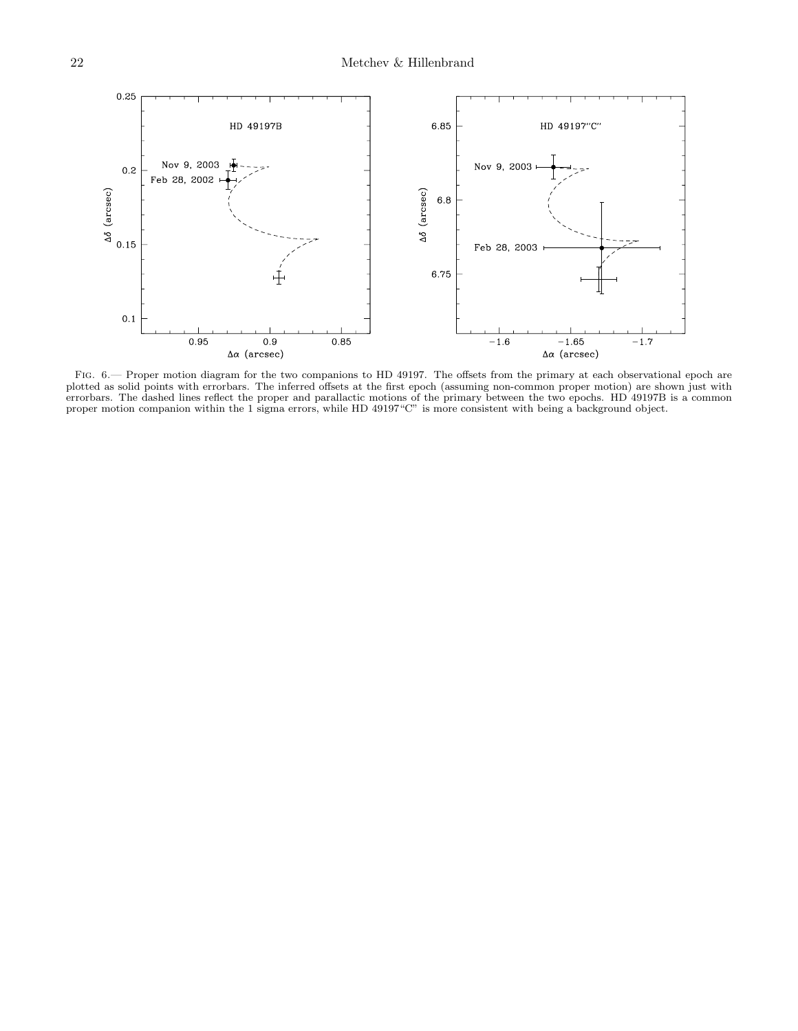

<span id="page-21-0"></span>FIG.  $6.$  Proper motion diagram for the two companions to HD 49197. The offsets from the primary at each observational epoch are plotted as solid points with errorbars. The inferred offsets at the first epoch (assuming non-common proper motion) are shown just with errorbars. The dashed lines reflect the proper and parallactic motions of the primary between the two epochs. HD 49197B is a common proper motion companion within the 1 sigma errors, while HD 49197"C" is more consistent with being a background object.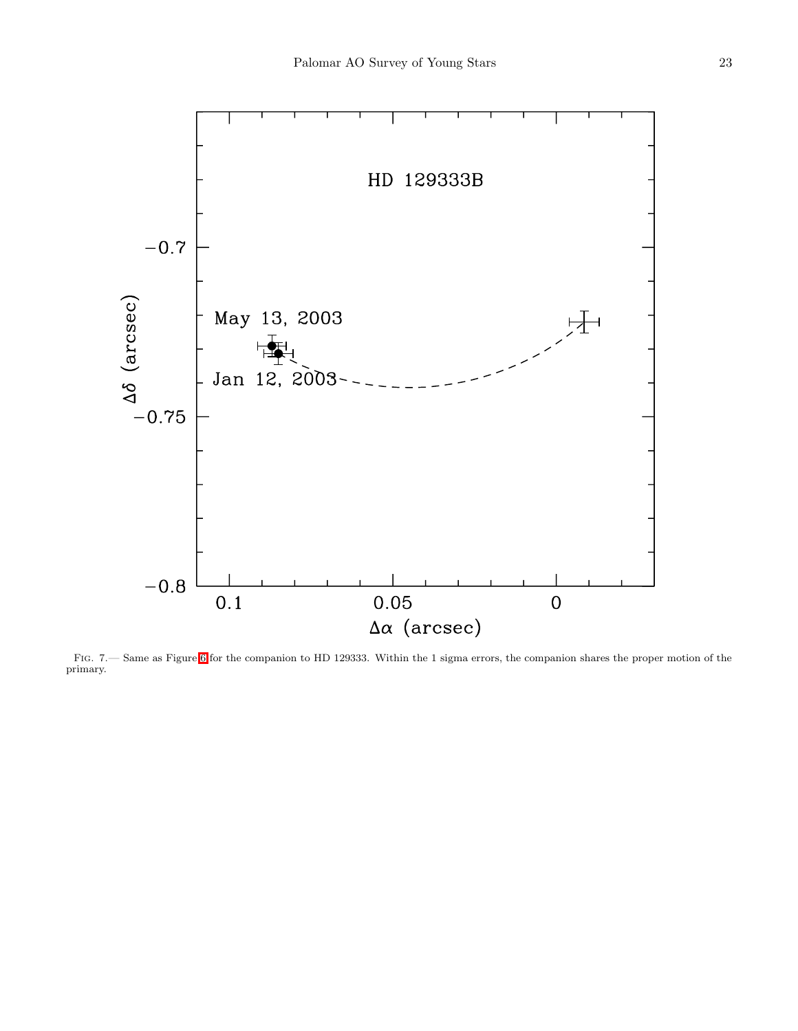

<span id="page-22-0"></span>Fig. 7.— Same as Figure [6](#page-21-0) for the companion to HD 129333. Within the 1 sigma errors, the companion shares the proper motion of the primary.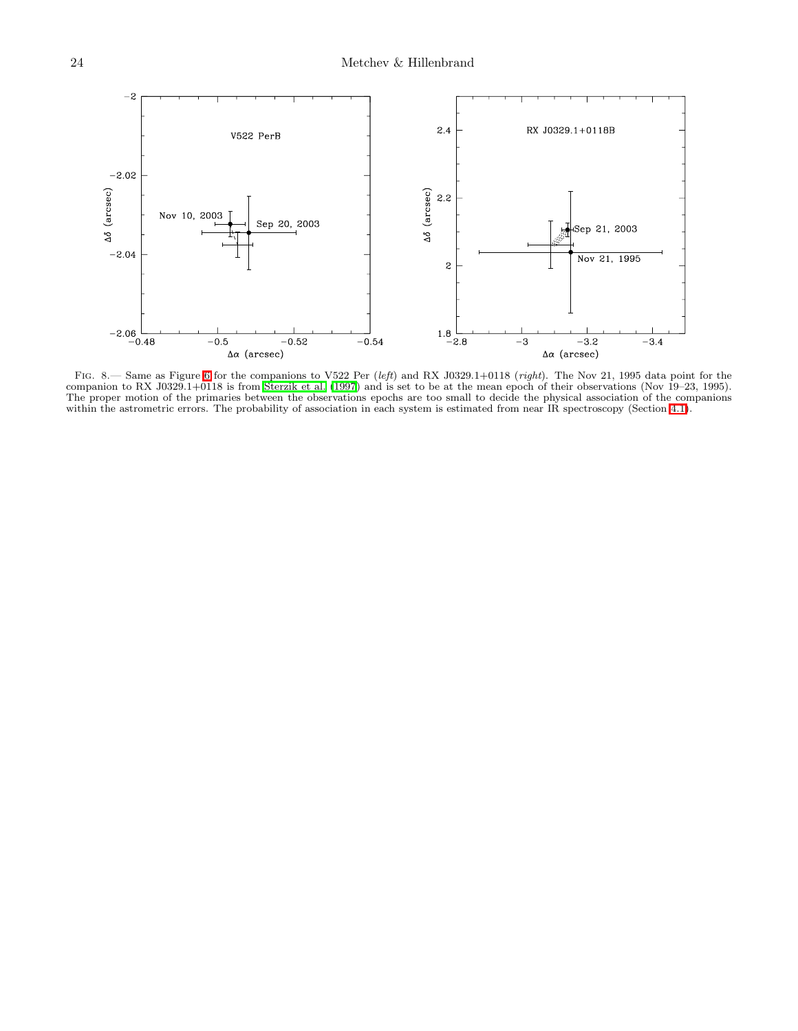

<span id="page-23-0"></span>FIG. 8.— Same as Figure [6](#page-21-0) for the companions to V522 Per  $(left)$  and RX J0329.1+0118  $(right)$ . The Nov 21, 1995 data point for the companion to RX J0329.1+0118 is from [Sterzik et al. \(1997](#page-13-0)) and is set to be at the mean epoch of their observations (Nov 19–23, 1995). The proper motion of the primaries between the observations epochs are too small to decide the physical association of the companions within the astrometric errors. The probability of association in each system is estimated from near IR spectroscopy (Section [4.1\)](#page-7-0).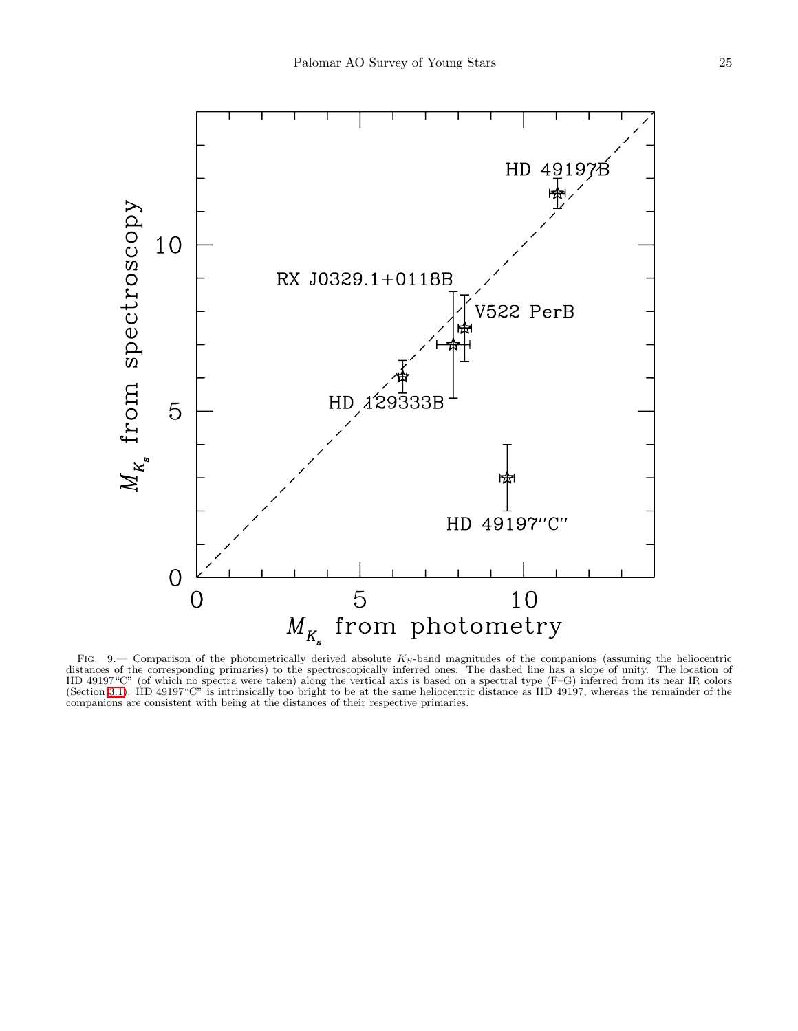

<span id="page-24-0"></span>FIG. 9.— Comparison of the photometrically derived absolute  $K_S$ -band magnitudes of the companions (assuming the heliocentric distances of the corresponding primaries) to the spectroscopically inferred ones. The dashed line has a slope of unity. The location of HD 49197"C" (of which no spectra were taken) along the vertical axis is based on a spectral type (F–G) inferred from its near IR colors (Section [3.1\)](#page-4-0). HD 49197"C" is intrinsically too bright to be at the same heliocentric distance as HD 49197, whereas the remainder of the companions are consistent with being at the distances of their respective primaries.